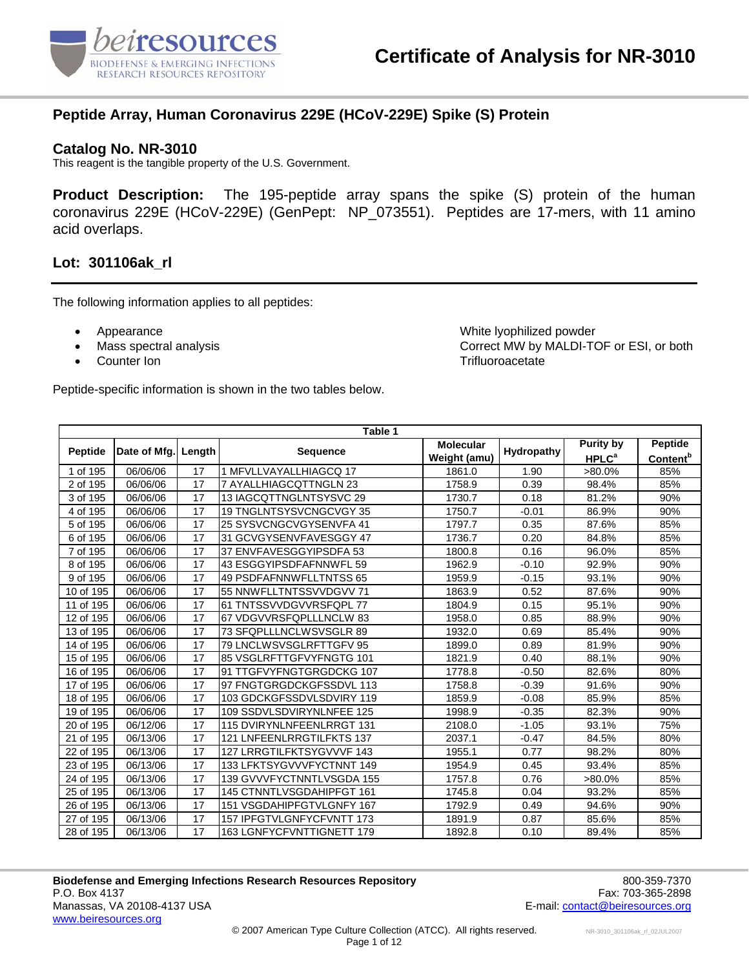

#### **Peptide Array, Human Coronavirus 229E (HCoV-229E) Spike (S) Protein**

#### **Catalog No. NR-3010**

This reagent is the tangible property of the U.S. Government.

**Product Description:** The 195-peptide array spans the spike (S) protein of the human coronavirus 229E (HCoV-229E) (GenPept: NP\_073551). Peptides are 17-mers, with 11 amino acid overlaps.

#### **Lot: 301106ak\_rl**

The following information applies to all peptides:

- 
- 
- 

• Appearance White lyophilized powder • Mass spectral analysis Correct MW by MALDI-TOF or ESI, or both • Counter Ion Trifluoroacetate

|                        |              |        | Table 1                   |                  |            |                         |                             |
|------------------------|--------------|--------|---------------------------|------------------|------------|-------------------------|-----------------------------|
| Peptide                | Date of Mfg. | Length | <b>Sequence</b>           | <b>Molecular</b> | Hydropathy | Purity by               | <b>Peptide</b>              |
|                        |              |        |                           | Weight (amu)     |            | <b>HPLC<sup>a</sup></b> | <b>Content</b> <sup>b</sup> |
| 1 of 195               | 06/06/06     | 17     | 1 MFVLLVAYALLHIAGCQ 17    | 1861.0           | 1.90       | >80.0%                  | 85%                         |
| 2 of 195               | 06/06/06     | 17     | 7 AYALLHIAGCQTTNGLN 23    | 1758.9           | 0.39       | 98.4%                   | 85%                         |
| 3 of 195               | 06/06/06     | 17     | 13 IAGCQTTNGLNTSYSVC 29   | 1730.7           | 0.18       | 81.2%                   | 90%                         |
| 4 of 195               | 06/06/06     | 17     | 19 TNGLNTSYSVCNGCVGY 35   | 1750.7           | $-0.01$    | 86.9%                   | 90%                         |
| 5 of 195               | 06/06/06     | 17     | 25 SYSVCNGCVGYSENVFA 41   | 1797.7           | 0.35       | 87.6%                   | 85%                         |
| 6 of 195               | 06/06/06     | 17     | 31 GCVGYSENVFAVESGGY 47   | 1736.7           | 0.20       | 84.8%                   | 85%                         |
| 7 of 195               | 06/06/06     | 17     | 37 ENVFAVESGGYIPSDFA 53   | 1800.8           | 0.16       | 96.0%                   | 85%                         |
| 8 of 195               | 06/06/06     | 17     | 43 ESGGYIPSDFAFNNWFL 59   | 1962.9           | $-0.10$    | 92.9%                   | 90%                         |
| 9 of 195               | 06/06/06     | 17     | 49 PSDFAFNNWFLLTNTSS 65   | 1959.9           | $-0.15$    | 93.1%                   | 90%                         |
| 10 of 195              | 06/06/06     | 17     | 55 NNWFLLTNTSSVVDGVV 71   | 1863.9           | 0.52       | 87.6%                   | 90%                         |
| 11 of 195              | 06/06/06     | 17     | 61 TNTSSVVDGVVRSFQPL 77   | 1804.9           | 0.15       | 95.1%                   | 90%                         |
| 12 of 195              | 06/06/06     | 17     | 67 VDGVVRSFQPLLLNCLW 83   | 1958.0           | 0.85       | 88.9%                   | 90%                         |
| 13 of 195              | 06/06/06     | 17     | 73 SFQPLLLNCLWSVSGLR 89   | 1932.0           | 0.69       | 85.4%                   | 90%                         |
| 14 of 195              | 06/06/06     | 17     | 79 LNCLWSVSGLRFTTGFV 95   | 1899.0           | 0.89       | 81.9%                   | 90%                         |
| 15 of 195              | 06/06/06     | 17     | 85 VSGLRFTTGFVYFNGTG 101  | 1821.9           | 0.40       | 88.1%                   | 90%                         |
| 16 of 195              | 06/06/06     | 17     | 91 TTGFVYFNGTGRGDCKG 107  | 1778.8           | $-0.50$    | 82.6%                   | 80%                         |
| 17 of 195              | 06/06/06     | 17     | 97 FNGTGRGDCKGFSSDVL 113  | 1758.8           | $-0.39$    | 91.6%                   | 90%                         |
| 18 of 195              | 06/06/06     | 17     | 103 GDCKGFSSDVLSDVIRY 119 | 1859.9           | $-0.08$    | 85.9%                   | 85%                         |
| 19 of 195              | 06/06/06     | 17     | 109 SSDVLSDVIRYNLNFEE 125 | 1998.9           | $-0.35$    | 82.3%                   | 90%                         |
| 20 of 195              | 06/12/06     | 17     | 115 DVIRYNLNFEENLRRGT 131 | 2108.0           | $-1.05$    | 93.1%                   | 75%                         |
| 21 of 195              | 06/13/06     | 17     | 121 LNFEENLRRGTILFKTS 137 | 2037.1           | $-0.47$    | 84.5%                   | 80%                         |
| 22 of 195              | 06/13/06     | 17     | 127 LRRGTILFKTSYGVVVF 143 | 1955.1           | 0.77       | 98.2%                   | 80%                         |
| $\overline{23}$ of 195 | 06/13/06     | 17     | 133 LFKTSYGVVVFYCTNNT 149 | 1954.9           | 0.45       | 93.4%                   | 85%                         |
| 24 of 195              | 06/13/06     | 17     | 139 GVVVFYCTNNTLVSGDA 155 | 1757.8           | 0.76       | >80.0%                  | 85%                         |
| 25 of 195              | 06/13/06     | 17     | 145 CTNNTLVSGDAHIPFGT 161 | 1745.8           | 0.04       | 93.2%                   | 85%                         |
| 26 of 195              | 06/13/06     | 17     | 151 VSGDAHIPFGTVLGNFY 167 | 1792.9           | 0.49       | 94.6%                   | 90%                         |
| 27 of 195              | 06/13/06     | 17     | 157 IPFGTVLGNFYCFVNTT 173 | 1891.9           | 0.87       | 85.6%                   | 85%                         |
| 28 of 195              | 06/13/06     | 17     | 163 LGNFYCFVNTTIGNETT 179 | 1892.8           | 0.10       | 89.4%                   | 85%                         |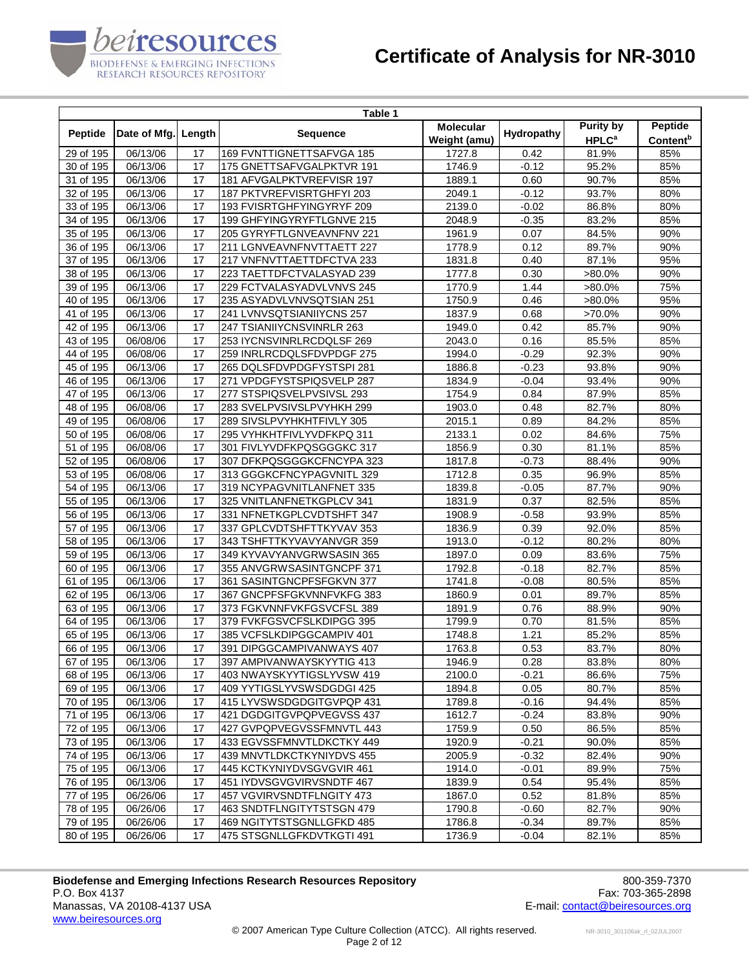

|                        |                       |        | Table 1                   |                                  |            |                                             |                                        |
|------------------------|-----------------------|--------|---------------------------|----------------------------------|------------|---------------------------------------------|----------------------------------------|
| Peptide                | Date of Mfg.          | Length | <b>Sequence</b>           | <b>Molecular</b><br>Weight (amu) | Hydropathy | <b>Purity by</b><br><b>HPLC<sup>a</sup></b> | <b>Peptide</b><br>Content <sup>b</sup> |
| 29 of 195              | $\overline{06/1}3/06$ | 17     | 169 FVNTTIGNETTSAFVGA 185 | 1727.8                           | 0.42       | 81.9%                                       | 85%                                    |
| 30 of 195              | 06/13/06              | 17     | 175 GNETTSAFVGALPKTVR 191 | 1746.9                           | $-0.12$    | 95.2%                                       | 85%                                    |
| 31 of 195              | 06/13/06              | 17     | 181 AFVGALPKTVREFVISR 197 | 1889.1                           | 0.60       | 90.7%                                       | 85%                                    |
| 32 of 195              | 06/13/06              | 17     | 187 PKTVREFVISRTGHFYI 203 | 2049.1                           | $-0.12$    | 93.7%                                       | 80%                                    |
| 33 of 195              | $\overline{06}/13/06$ | 17     | 193 FVISRTGHFYINGYRYF 209 | 2139.0                           | $-0.02$    | 86.8%                                       | 80%                                    |
| 34 of 195              | 06/13/06              | 17     | 199 GHFYINGYRYFTLGNVE 215 | 2048.9                           | $-0.35$    | 83.2%                                       | 85%                                    |
| 35 of 195              | 06/13/06              | 17     | 205 GYRYFTLGNVEAVNFNV 221 | 1961.9                           | 0.07       | 84.5%                                       | 90%                                    |
| 36 of 195              | 06/13/06              | 17     | 211 LGNVEAVNFNVTTAETT 227 | 1778.9                           | 0.12       | 89.7%                                       | 90%                                    |
| 37 of 195              | 06/13/06              | 17     | 217 VNFNVTTAETTDFCTVA 233 | 1831.8                           | 0.40       | 87.1%                                       | 95%                                    |
| 38 of 195              | 06/13/06              | 17     | 223 TAETTDFCTVALASYAD 239 | 1777.8                           | 0.30       | $>80.0\%$                                   | 90%                                    |
| 39 of 195              | 06/13/06              | 17     | 229 FCTVALASYADVLVNVS 245 | 1770.9                           | 1.44       | $>80.0\%$                                   | 75%                                    |
| 40 of 195              | 06/13/06              | 17     | 235 ASYADVLVNVSQTSIAN 251 | 1750.9                           | 0.46       | $>80.0\%$                                   | 95%                                    |
| 41 of 195              | 06/13/06              | 17     | 241 LVNVSQTSIANIIYCNS 257 | 1837.9                           | 0.68       | $>70.0\%$                                   | 90%                                    |
| 42 of 195              | 06/13/06              | 17     | 247 TSIANIIYCNSVINRLR 263 | 1949.0                           | 0.42       | 85.7%                                       | 90%                                    |
| 43 of 195              | 06/08/06              | 17     | 253 IYCNSVINRLRCDQLSF 269 | 2043.0                           | 0.16       | 85.5%                                       | 85%                                    |
| 44 of 195              | 06/08/06              | 17     | 259 INRLRCDQLSFDVPDGF 275 | 1994.0                           | $-0.29$    | 92.3%                                       | 90%                                    |
| 45 of 195              | 06/13/06              | 17     | 265 DQLSFDVPDGFYSTSPI 281 | 1886.8                           | $-0.23$    | 93.8%                                       | 90%                                    |
| 46 of 195              | 06/13/06              | 17     | 271 VPDGFYSTSPIQSVELP 287 | 1834.9                           | $-0.04$    | 93.4%                                       | 90%                                    |
| $\overline{47}$ of 195 | 06/13/06              | 17     | 277 STSPIQSVELPVSIVSL 293 | 1754.9                           | 0.84       | 87.9%                                       | 85%                                    |
| 48 of 195              | 06/08/06              | 17     | 283 SVELPVSIVSLPVYHKH 299 | 1903.0                           | 0.48       | 82.7%                                       | 80%                                    |
| 49 of 195              | 06/08/06              | 17     | 289 SIVSLPVYHKHTFIVLY 305 | 2015.1                           | 0.89       | 84.2%                                       | 85%                                    |
| 50 of 195              | 06/08/06              | 17     | 295 VYHKHTFIVLYVDFKPQ 311 | 2133.1                           | 0.02       | 84.6%                                       | 75%                                    |
| 51 of 195              | 06/08/06              | 17     | 301 FIVLYVDFKPQSGGGKC 317 | 1856.9                           | 0.30       | 81.1%                                       | 85%                                    |
| 52 of 195              | 06/08/06              | 17     | 307 DFKPQSGGGKCFNCYPA 323 | 1817.8                           | $-0.73$    | 88.4%                                       | 90%                                    |
| 53 of 195              | 06/08/06              | 17     | 313 GGGKCFNCYPAGVNITL 329 | 1712.8                           | 0.35       | 96.9%                                       | 85%                                    |
| 54 of 195              | 06/13/06              | 17     | 319 NCYPAGVNITLANFNET 335 | 1839.8                           | $-0.05$    | 87.7%                                       | 90%                                    |
| 55 of 195              | 06/13/06              | 17     | 325 VNITLANFNETKGPLCV 341 | 1831.9                           | 0.37       | 82.5%                                       | 85%                                    |
| 56 of 195              | 06/13/06              | 17     | 331 NFNETKGPLCVDTSHFT 347 | 1908.9                           | $-0.58$    | 93.9%                                       | 85%                                    |
| 57 of 195              | 06/13/06              | 17     | 337 GPLCVDTSHFTTKYVAV 353 | 1836.9                           | 0.39       | 92.0%                                       | 85%                                    |
| 58 of 195              | 06/13/06              | 17     | 343 TSHFTTKYVAVYANVGR 359 | 1913.0                           | $-0.12$    | 80.2%                                       | 80%                                    |
| 59 of 195              | 06/13/06              | 17     | 349 KYVAVYANVGRWSASIN 365 | 1897.0                           | 0.09       | 83.6%                                       | 75%                                    |
| 60 of 195              | 06/13/06              | 17     | 355 ANVGRWSASINTGNCPF 371 | 1792.8                           | $-0.18$    | 82.7%                                       | 85%                                    |
| 61 of 195              | $\overline{06/1}3/06$ | 17     | 361 SASINTGNCPFSFGKVN 377 | 1741.8                           | $-0.08$    | 80.5%                                       | 85%                                    |
| 62 of 195              | 06/13/06              | 17     | 367 GNCPFSFGKVNNFVKFG 383 | 1860.9                           | 0.01       | 89.7%                                       | 85%                                    |
| 63 of 195              | 06/13/06              | 17     | 373 FGKVNNFVKFGSVCFSL 389 | 1891.9                           | 0.76       | 88.9%                                       | 90%                                    |
| 64 of 195              | 06/13/06              | 17     | 379 FVKFGSVCFSLKDIPGG 395 | 1799.9                           | 0.70       | 81.5%                                       | 85%                                    |
| 65 of 195              | 06/13/06              | 17     | 385 VCFSLKDIPGGCAMPIV 401 | 1748.8                           | 1.21       | 85.2%                                       | 85%                                    |
| 66 of 195              | 06/13/06              | 17     | 391 DIPGGCAMPIVANWAYS 407 | 1763.8                           | 0.53       | 83.7%                                       | 80%                                    |
| 67 of 195              | 06/13/06              | 17     | 397 AMPIVANWAYSKYYTIG 413 | 1946.9                           | 0.28       | 83.8%                                       | 80%                                    |
| 68 of 195              | 06/13/06              | 17     | 403 NWAYSKYYTIGSLYVSW 419 | 2100.0                           | $-0.21$    | 86.6%                                       | 75%                                    |
| 69 of 195              | 06/13/06              | 17     | 409 YYTIGSLYVSWSDGDGI 425 | 1894.8                           | 0.05       | 80.7%                                       | 85%                                    |
| 70 of 195              | 06/13/06              | 17     | 415 LYVSWSDGDGITGVPQP 431 | 1789.8                           | $-0.16$    | 94.4%                                       | 85%                                    |
| 71 of 195              | 06/13/06              | 17     | 421 DGDGITGVPQPVEGVSS 437 | 1612.7                           | $-0.24$    | 83.8%                                       | 90%                                    |
| 72 of 195              | 06/13/06              | 17     | 427 GVPQPVEGVSSFMNVTL 443 | 1759.9                           | 0.50       | 86.5%                                       | 85%                                    |
| 73 of 195              | 06/13/06              | 17     | 433 EGVSSFMNVTLDKCTKY 449 | 1920.9                           | $-0.21$    | 90.0%                                       | 85%                                    |
| 74 of 195              | 06/13/06              | 17     | 439 MNVTLDKCTKYNIYDVS 455 | 2005.9                           | $-0.32$    | 82.4%                                       | 90%                                    |
| 75 of 195              | 06/13/06              | 17     | 445 KCTKYNIYDVSGVGVIR 461 | 1914.0                           | $-0.01$    | 89.9%                                       | 75%                                    |
| 76 of 195              | 06/13/06              | 17     | 451 IYDVSGVGVIRVSNDTF 467 | 1839.9                           | 0.54       | 95.4%                                       | 85%                                    |
| 77 of 195              | 06/26/06              | 17     | 457 VGVIRVSNDTFLNGITY 473 | 1867.0                           | 0.52       | 81.8%                                       | 85%                                    |
| 78 of 195              | 06/26/06              | 17     | 463 SNDTFLNGITYTSTSGN 479 | 1790.8                           | $-0.60$    | 82.7%                                       | 90%                                    |
| 79 of 195              | 06/26/06              | 17     | 469 NGITYTSTSGNLLGFKD 485 | 1786.8                           | $-0.34$    | 89.7%                                       | 85%                                    |
| 80 of 195              | 06/26/06              | 17     | 475 STSGNLLGFKDVTKGTI 491 | 1736.9                           | -0.04      | 82.1%                                       | 85%                                    |

**Biodefense and Emerging Infections Research Resources Repository 600-859-7370**<br>P.O. Box 4137 Fax: 703-365-2898 P.O. Box 4137 Fax: 703-365-2898<br>Manassas, VA 20108-4137 USA The Superior of the Superior of the Superior Contact (Series of the Superior of th<br>E-mail: <u>contact @beiresources.org</u> www.beiresources.org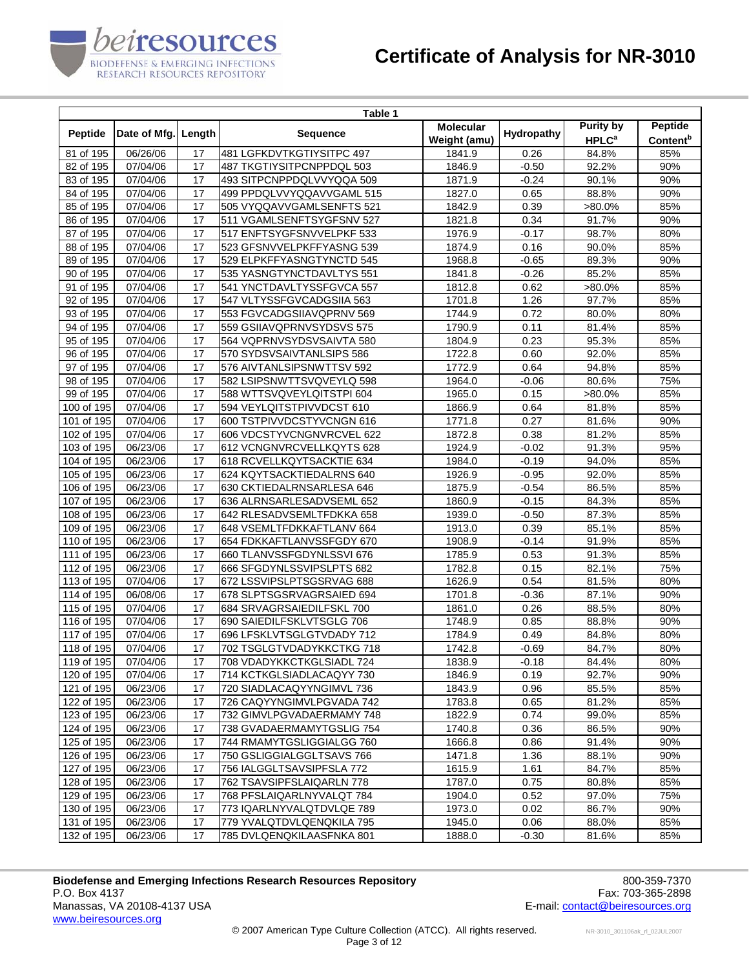

|                         |              |        | Table 1                   |                  |            |                         |                      |
|-------------------------|--------------|--------|---------------------------|------------------|------------|-------------------------|----------------------|
| Peptide                 | Date of Mfg. | Length | <b>Sequence</b>           | <b>Molecular</b> | Hydropathy | <b>Purity by</b>        | <b>Peptide</b>       |
|                         |              |        |                           | Weight (amu)     |            | <b>HPLC<sup>a</sup></b> | Content <sup>b</sup> |
| 81 of 195               | 06/26/06     | 17     | 481 LGFKDVTKGTIYSITPC 497 | 1841.9           | 0.26       | 84.8%                   | 85%                  |
| 82 of 195               | 07/04/06     | 17     | 487 TKGTIYSITPCNPPDQL 503 | 1846.9           | $-0.50$    | 92.2%                   | 90%                  |
| 83 of 195               | 07/04/06     | 17     | 493 SITPCNPPDQLVVYQQA 509 | 1871.9           | $-0.24$    | 90.1%                   | 90%                  |
| 84 of 195               | 07/04/06     | 17     | 499 PPDQLVVYQQAVVGAML 515 | 1827.0           | 0.65       | 88.8%                   | 90%                  |
| 85 of 195               | 07/04/06     | 17     | 505 VYQQAVVGAMLSENFTS 521 | 1842.9           | 0.39       | >80.0%                  | 85%                  |
| 86 of 195               | 07/04/06     | 17     | 511 VGAMLSENFTSYGFSNV 527 | 1821.8           | 0.34       | 91.7%                   | 90%                  |
| 87 of 195               | 07/04/06     | 17     | 517 ENFTSYGFSNVVELPKF 533 | 1976.9           | $-0.17$    | 98.7%                   | 80%                  |
| 88 of 195               | 07/04/06     | 17     | 523 GFSNVVELPKFFYASNG 539 | 1874.9           | 0.16       | 90.0%                   | 85%                  |
| 89 of 195               | 07/04/06     | 17     | 529 ELPKFFYASNGTYNCTD 545 | 1968.8           | $-0.65$    | 89.3%                   | 90%                  |
| 90 of 195               | 07/04/06     | 17     | 535 YASNGTYNCTDAVLTYS 551 | 1841.8           | $-0.26$    | 85.2%                   | 85%                  |
| 91 of 195               | 07/04/06     | 17     | 541 YNCTDAVLTYSSFGVCA 557 | 1812.8           | 0.62       | $>80.0\%$               | 85%                  |
| 92 of 195               | 07/04/06     | 17     | 547 VLTYSSFGVCADGSIIA 563 | 1701.8           | 1.26       | 97.7%                   | 85%                  |
| 93 of 195               | 07/04/06     | 17     | 553 FGVCADGSIIAVQPRNV 569 | 1744.9           | 0.72       | 80.0%                   | 80%                  |
| 94 of 195               | 07/04/06     | 17     | 559 GSIIAVQPRNVSYDSVS 575 | 1790.9           | 0.11       | 81.4%                   | 85%                  |
| 95 of 195               | 07/04/06     | 17     | 564 VQPRNVSYDSVSAIVTA 580 | 1804.9           | 0.23       | 95.3%                   | 85%                  |
| 96 of 195               | 07/04/06     | 17     | 570 SYDSVSAIVTANLSIPS 586 | 1722.8           | 0.60       | 92.0%                   | 85%                  |
| 97 of 195               | 07/04/06     | 17     | 576 AIVTANLSIPSNWTTSV 592 | 1772.9           | 0.64       | 94.8%                   | 85%                  |
| 98 of 195               | 07/04/06     | 17     | 582 LSIPSNWTTSVQVEYLQ 598 | 1964.0           | $-0.06$    | 80.6%                   | 75%                  |
| 99 of 195               | 07/04/06     | 17     | 588 WTTSVQVEYLQITSTPI 604 | 1965.0           | 0.15       | >80.0%                  | 85%                  |
| $100$ of 195            | 07/04/06     | 17     | 594 VEYLQITSTPIVVDCST 610 | 1866.9           | 0.64       | 81.8%                   | 85%                  |
| 101 of 195              | 07/04/06     | 17     | 600 TSTPIVVDCSTYVCNGN 616 | 1771.8           | 0.27       | 81.6%                   | 90%                  |
| 102 of 195              | 07/04/06     | 17     | 606 VDCSTYVCNGNVRCVEL 622 | 1872.8           | 0.38       | 81.2%                   | 85%                  |
| $\overline{103}$ of 195 | 06/23/06     | 17     | 612 VCNGNVRCVELLKQYTS 628 | 1924.9           | $-0.02$    | 91.3%                   | 95%                  |
| 104 of 195              | 06/23/06     | 17     | 618 RCVELLKQYTSACKTIE 634 | 1984.0           | $-0.19$    | 94.0%                   | 85%                  |
| 105 of 195              | 06/23/06     | 17     | 624 KQYTSACKTIEDALRNS 640 | 1926.9           | $-0.95$    | 92.0%                   | 85%                  |
| 106 of 195              | 06/23/06     | 17     | 630 CKTIEDALRNSARLESA 646 | 1875.9           | $-0.54$    | 86.5%                   | 85%                  |
| 107 of 195              | 06/23/06     | 17     | 636 ALRNSARLESADVSEML 652 | 1860.9           | $-0.15$    | 84.3%                   | 85%                  |
| 108 of 195              | 06/23/06     | 17     | 642 RLESADVSEMLTFDKKA 658 | 1939.0           | $-0.50$    | 87.3%                   | 85%                  |
| $\overline{109}$ of 195 | 06/23/06     | 17     | 648 VSEMLTFDKKAFTLANV 664 | 1913.0           | 0.39       | 85.1%                   | 85%                  |
| 110 of 195              | 06/23/06     | 17     | 654 FDKKAFTLANVSSFGDY 670 | 1908.9           | $-0.14$    | 91.9%                   | 85%                  |
| 111 of 195              | 06/23/06     | 17     | 660 TLANVSSFGDYNLSSVI 676 | 1785.9           | 0.53       | 91.3%                   | 85%                  |
| $112$ of 195            | 06/23/06     | 17     | 666 SFGDYNLSSVIPSLPTS 682 | 1782.8           | 0.15       | 82.1%                   | 75%                  |
| 113 of 195              | 07/04/06     | 17     | 672 LSSVIPSLPTSGSRVAG 688 | 1626.9           | 0.54       | 81.5%                   | 80%                  |
| 114 of 195              | 06/08/06     | 17     | 678 SLPTSGSRVAGRSAIED 694 | 1701.8           | $-0.36$    | 87.1%                   | 90%                  |
| 115 of 195              | 07/04/06     | 17     | 684 SRVAGRSAIEDILFSKL 700 | 1861.0           | 0.26       | 88.5%                   | 80%                  |
| 116 of 195              | 07/04/06     | 17     | 690 SAIEDILFSKLVTSGLG 706 | 1748.9           | 0.85       | 88.8%                   | 90%                  |
| 117 of 195              | 07/04/06     | 17     | 696 LFSKLVTSGLGTVDADY 712 | 1784.9           | 0.49       | 84.8%                   | 80%                  |
| 118 of 195              | 07/04/06     | 17     | 702 TSGLGTVDADYKKCTKG 718 | 1742.8           | $-0.69$    | 84.7%                   | 80%                  |
| 119 of 195              | 07/04/06     | 17     | 708 VDADYKKCTKGLSIADL 724 | 1838.9           | $-0.18$    | 84.4%                   | 80%                  |
| 120 of 195              | 07/04/06     | 17     | 714 KCTKGLSIADLACAQYY 730 | 1846.9           | 0.19       | 92.7%                   | 90%                  |
| 121 of 195              | 06/23/06     | 17     | 720 SIADLACAQYYNGIMVL 736 | 1843.9           | 0.96       | 85.5%                   | 85%                  |
| 122 of 195              | 06/23/06     | 17     | 726 CAQYYNGIMVLPGVADA 742 | 1783.8           | 0.65       | 81.2%                   | 85%                  |
| 123 of 195              | 06/23/06     | 17     | 732 GIMVLPGVADAERMAMY 748 | 1822.9           | 0.74       | 99.0%                   | 85%                  |
| 124 of 195              | 06/23/06     | 17     | 738 GVADAERMAMYTGSLIG 754 | 1740.8           | 0.36       | 86.5%                   | 90%                  |
| 125 of 195              | 06/23/06     | 17     | 744 RMAMYTGSLIGGIALGG 760 | 1666.8           | 0.86       | 91.4%                   | 90%                  |
| 126 of 195              | 06/23/06     | 17     | 750 GSLIGGIALGGLTSAVS 766 | 1471.8           | 1.36       | 88.1%                   | 90%                  |
| 127 of 195              | 06/23/06     | 17     | 756 IALGGLTSAVSIPFSLA 772 | 1615.9           | 1.61       | 84.7%                   | 85%                  |
| 128 of 195              | 06/23/06     | 17     | 762 TSAVSIPFSLAIQARLN 778 | 1787.0           | 0.75       | 80.8%                   | 85%                  |
| 129 of 195              | 06/23/06     | 17     | 768 PFSLAIQARLNYVALQT 784 | 1904.0           | 0.52       | 97.0%                   | 75%                  |
| $\overline{130}$ of 195 | 06/23/06     | 17     | 773 IQARLNYVALQTDVLQE 789 | 1973.0           | 0.02       | 86.7%                   | 90%                  |
| 131 of 195              | 06/23/06     | 17     | 779 YVALQTDVLQENQKILA 795 | 1945.0           | 0.06       | 88.0%                   | 85%                  |
| 132 of 195              | 06/23/06     | 17     | 785 DVLQENQKILAASFNKA 801 | 1888.0           | -0.30      | 81.6%                   | 85%                  |
|                         |              |        |                           |                  |            |                         |                      |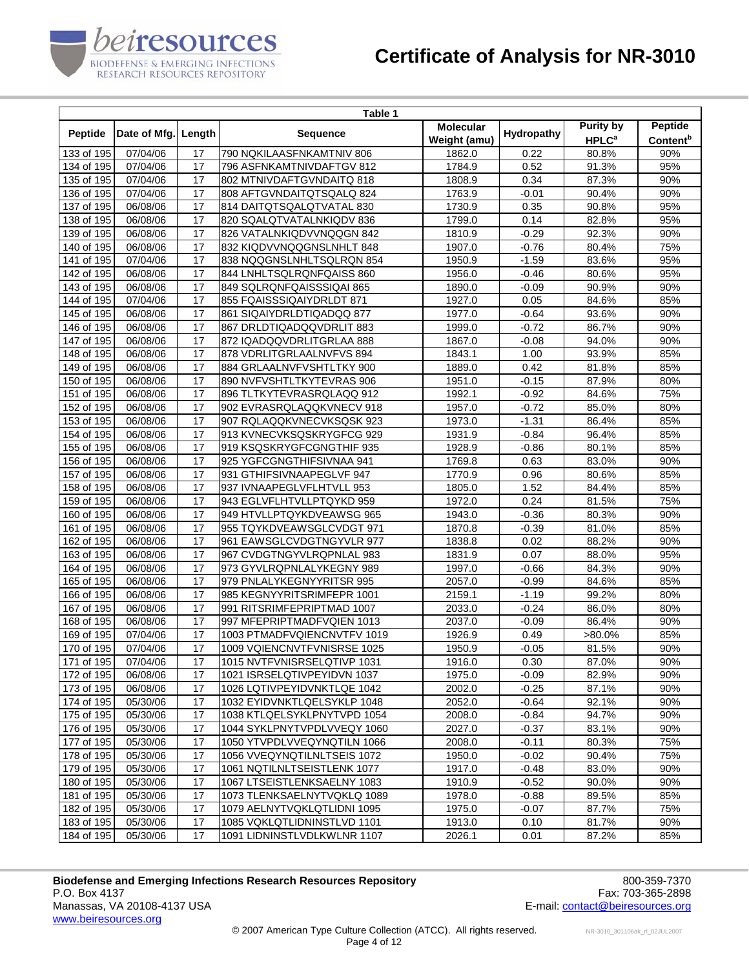

|                         |              |        | Table 1                     |                                  |            |                                             |                                               |
|-------------------------|--------------|--------|-----------------------------|----------------------------------|------------|---------------------------------------------|-----------------------------------------------|
| Peptide                 | Date of Mfg. | Length | <b>Sequence</b>             | <b>Molecular</b><br>Weight (amu) | Hydropathy | <b>Purity by</b><br><b>HPLC<sup>a</sup></b> | <b>Peptide</b><br><b>Content</b> <sup>b</sup> |
| 133 of 195              | 07/04/06     | 17     | 790 NQKILAASFNKAMTNIV 806   | 1862.0                           | 0.22       | 80.8%                                       | 90%                                           |
| 134 of 195              | 07/04/06     | 17     | 796 ASFNKAMTNIVDAFTGV 812   | 1784.9                           | 0.52       | 91.3%                                       | 95%                                           |
| 135 of 195              | 07/04/06     | 17     | 802 MTNIVDAFTGVNDAITQ 818   | 1808.9                           | 0.34       | 87.3%                                       | 90%                                           |
| 136 of 195              | 07/04/06     | 17     | 808 AFTGVNDAITQTSQALQ 824   | 1763.9                           | $-0.01$    | 90.4%                                       | 90%                                           |
| 137 of 195              | 06/08/06     | 17     | 814 DAITQTSQALQTVATAL 830   | 1730.9                           | 0.35       | 90.8%                                       | 95%                                           |
| 138 of 195              | 06/08/06     | 17     | 820 SQALQTVATALNKIQDV 836   | 1799.0                           | 0.14       | 82.8%                                       | 95%                                           |
| 139 of 195              | 06/08/06     | 17     | 826 VATALNKIQDVVNQQGN 842   | 1810.9                           | $-0.29$    | 92.3%                                       | 90%                                           |
| 140 of 195              | 06/08/06     | 17     | 832 KIQDVVNQQGNSLNHLT 848   | 1907.0                           | $-0.76$    | 80.4%                                       | 75%                                           |
| 141 of 195              | 07/04/06     | 17     | 838 NQQGNSLNHLTSQLRQN 854   | 1950.9                           | $-1.59$    | 83.6%                                       | 95%                                           |
| 142 of 195              | 06/08/06     | 17     | 844 LNHLTSQLRQNFQAISS 860   | 1956.0                           | $-0.46$    | 80.6%                                       | 95%                                           |
| 143 of 195              | 06/08/06     | 17     | 849 SQLRQNFQAISSSIQAI 865   | 1890.0                           | $-0.09$    | 90.9%                                       | 90%                                           |
| 144 of 195              | 07/04/06     | 17     | 855 FQAISSSIQAIYDRLDT 871   | 1927.0                           | 0.05       | 84.6%                                       | 85%                                           |
| 145 of 195              | 06/08/06     | 17     | 861 SIQAIYDRLDTIQADQQ 877   | 1977.0                           | $-0.64$    | 93.6%                                       | 90%                                           |
| 146 of 195              | 06/08/06     | 17     | 867 DRLDTIQADQQVDRLIT 883   | 1999.0                           | $-0.72$    | 86.7%                                       | 90%                                           |
| 147 of 195              | 06/08/06     | 17     | 872 IQADQQVDRLITGRLAA 888   | 1867.0                           | $-0.08$    | 94.0%                                       | 90%                                           |
| 148 of 195              | 06/08/06     | 17     | 878 VDRLITGRLAALNVFVS 894   | 1843.1                           | 1.00       | 93.9%                                       | 85%                                           |
| $\overline{149}$ of 195 | 06/08/06     | 17     | 884 GRLAALNVFVSHTLTKY 900   | 1889.0                           | 0.42       | 81.8%                                       | 85%                                           |
| 150 of 195              | 06/08/06     | 17     | 890 NVFVSHTLTKYTEVRAS 906   | 1951.0                           | $-0.15$    | 87.9%                                       | 80%                                           |
| 151 of 195              | 06/08/06     | 17     | 896 TLTKYTEVRASRQLAQQ 912   | 1992.1                           | $-0.92$    | 84.6%                                       | 75%                                           |
| 152 of 195              | 06/08/06     | 17     | 902 EVRASRQLAQQKVNECV 918   | 1957.0                           | $-0.72$    | 85.0%                                       | 80%                                           |
| 153 of 195              | 06/08/06     | 17     | 907 RQLAQQKVNECVKSQSK 923   | 1973.0                           | $-1.31$    | 86.4%                                       | 85%                                           |
| 154 of 195              | 06/08/06     | 17     | 913 KVNECVKSQSKRYGFCG 929   | 1931.9                           | $-0.84$    | 96.4%                                       | 85%                                           |
| 155 of 195              | 06/08/06     | 17     | 919 KSQSKRYGFCGNGTHIF 935   | 1928.9                           | $-0.86$    | 80.1%                                       | 85%                                           |
| 156 of 195              | 06/08/06     | 17     | 925 YGFCGNGTHIFSIVNAA 941   | 1769.8                           | 0.63       | 83.0%                                       | 90%                                           |
| 157 of 195              | 06/08/06     | 17     | 931 GTHIFSIVNAAPEGLVF 947   | 1770.9                           | 0.96       | 80.6%                                       | 85%                                           |
| 158 of 195              | 06/08/06     | 17     | 937 IVNAAPEGLVFLHTVLL 953   | 1805.0                           | 1.52       | 84.4%                                       | 85%                                           |
| 159 of 195              | 06/08/06     | 17     | 943 EGLVFLHTVLLPTQYKD 959   | 1972.0                           | 0.24       | 81.5%                                       | 75%                                           |
| 160 of 195              | 06/08/06     | 17     | 949 HTVLLPTQYKDVEAWSG 965   | 1943.0                           | $-0.36$    | 80.3%                                       | 90%                                           |
| 161 of 195              | 06/08/06     | 17     | 955 TQYKDVEAWSGLCVDGT 971   | 1870.8                           | $-0.39$    | 81.0%                                       | 85%                                           |
| 162 of 195              | 06/08/06     | 17     | 961 EAWSGLCVDGTNGYVLR 977   | 1838.8                           | 0.02       | 88.2%                                       | 90%                                           |
| 163 of 195              | 06/08/06     | 17     | 967 CVDGTNGYVLRQPNLAL 983   | 1831.9                           | 0.07       | 88.0%                                       | 95%                                           |
| 164 of 195              | 06/08/06     | 17     | 973 GYVLRQPNLALYKEGNY 989   | 1997.0                           | $-0.66$    | 84.3%                                       | 90%                                           |
| 165 of 195              | 06/08/06     | 17     | 979 PNLALYKEGNYYRITSR 995   | 2057.0                           | $-0.99$    | 84.6%                                       | 85%                                           |
| 166 of 195              | 06/08/06     | 17     | 985 KEGNYYRITSRIMFEPR 1001  | 2159.1                           | $-1.19$    | 99.2%                                       | 80%                                           |
| 167 of 195              | 06/08/06     | 17     | 991 RITSRIMFEPRIPTMAD 1007  | 2033.0                           | $-0.24$    | 86.0%                                       | 80%                                           |
| 168 of 195              | 06/08/06     | 17     | 997 MFEPRIPTMADFVQIEN 1013  | 2037.0                           | $-0.09$    | 86.4%                                       | 90%                                           |
| 169 of 195              | 07/04/06     | 17     | 1003 PTMADFVQIENCNVTFV 1019 | 1926.9                           | 0.49       | >80.0%                                      | 85%                                           |
| 170 of 195              | 07/04/06     | 17     | 1009 VQIENCNVTFVNISRSE 1025 | 1950.9                           | $-0.05$    | 81.5%                                       | 90%                                           |
| 171 of 195              | 07/04/06     | 17     | 1015 NVTFVNISRSELQTIVP 1031 | 1916.0                           | 0.30       | 87.0%                                       | 90%                                           |
| 172 of 195              | 06/08/06     | 17     | 1021 ISRSELQTIVPEYIDVN 1037 | 1975.0                           | -0.09      | 82.9%                                       | 90%                                           |
| 173 of 195              | 06/08/06     | 17     | 1026 LQTIVPEYIDVNKTLQE 1042 | 2002.0                           | $-0.25$    | 87.1%                                       | 90%                                           |
| 174 of 195              | 05/30/06     | 17     | 1032 EYIDVNKTLQELSYKLP 1048 | 2052.0                           | $-0.64$    | 92.1%                                       | 90%                                           |
| 175 of 195              | 05/30/06     | 17     | 1038 KTLQELSYKLPNYTVPD 1054 | 2008.0                           | $-0.84$    | 94.7%                                       | 90%                                           |
| 176 of 195              | 05/30/06     | 17     | 1044 SYKLPNYTVPDLVVEQY 1060 | 2027.0                           | $-0.37$    | 83.1%                                       | 90%                                           |
| 177 of 195              | 05/30/06     | 17     | 1050 YTVPDLVVEQYNQTILN 1066 | 2008.0                           | $-0.11$    | 80.3%                                       | 75%                                           |
| 178 of 195              | 05/30/06     | 17     | 1056 VVEQYNQTILNLTSEIS 1072 | 1950.0                           | $-0.02$    | 90.4%                                       | 75%                                           |
| 179 of 195              | 05/30/06     | 17     | 1061 NQTILNLTSEISTLENK 1077 | 1917.0                           | $-0.48$    | 83.0%                                       | 90%                                           |
| 180 of 195              | 05/30/06     | 17     | 1067 LTSEISTLENKSAELNY 1083 | 1910.9                           | $-0.52$    | 90.0%                                       | 90%                                           |
| 181 of 195              | 05/30/06     | 17     | 1073 TLENKSAELNYTVQKLQ 1089 | 1978.0                           | $-0.88$    | 89.5%                                       | 85%                                           |
| 182 of 195              | 05/30/06     | 17     | 1079 AELNYTVQKLQTLIDNI 1095 | 1975.0                           | $-0.07$    | 87.7%                                       | 75%                                           |
| 183 of 195              | 05/30/06     | 17     | 1085 VQKLQTLIDNINSTLVD 1101 | 1913.0                           | 0.10       | 81.7%                                       | 90%                                           |
| 184 of 195              | 05/30/06     | 17     | 1091 LIDNINSTLVDLKWLNR 1107 | 2026.1                           | 0.01       | 87.2%                                       | 85%                                           |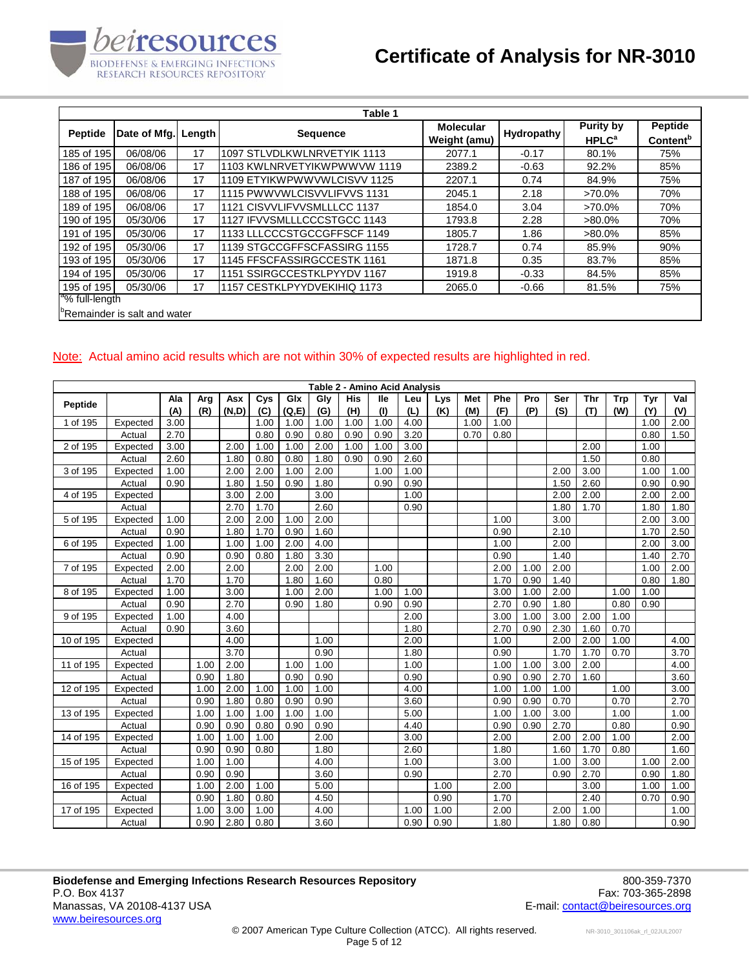

|                            |                                          |        | Table 1                      |                  |            |                         |                      |
|----------------------------|------------------------------------------|--------|------------------------------|------------------|------------|-------------------------|----------------------|
|                            |                                          |        |                              | <b>Molecular</b> |            | <b>Purity by</b>        | Peptide              |
| <b>Peptide</b>             | Date of Mfg.                             | Lenath | <b>Sequence</b>              | Weight (amu)     | Hydropathy | <b>HPLC<sup>a</sup></b> | Content <sup>b</sup> |
| 185 of 195                 | 06/08/06                                 | 17     | 1097 STLVDLKWLNRVETYIK 1113  | 2077.1           | $-0.17$    | 80.1%                   | 75%                  |
| 186 of 195                 | 06/08/06                                 | 17     | 1103 KWLNRVETYIKWPWWVW 1119  | 2389.2           | $-0.63$    | 92.2%                   | 85%                  |
| 187 of 195                 | 06/08/06                                 | 17     | 1109 ETYIKWPWWVWLCISVV 1125  | 2207.1           | 0.74       | 84.9%                   | 75%                  |
| 188 of 195                 | 06/08/06                                 | 17     | 11115 PWWVWLCISVVLIFVVS 1131 | 2045.1           | 2.18       | $>70.0\%$               | 70%                  |
| 189 of 195                 | 06/08/06                                 | 17     | 1121 CISVVLIFVVSMLLLCC 1137  | 1854.0           | 3.04       | $>70.0\%$               | 70%                  |
| 190 of 195                 | 05/30/06                                 | 17     | 1127 IFVVSMLLLCCCSTGCC 1143  | 1793.8           | 2.28       | $>80.0\%$               | 70%                  |
| 191 of 195                 | 05/30/06                                 | 17     | 1133 LLLCCCSTGCCGFFSCF 1149  | 1805.7           | 1.86       | $>80.0\%$               | 85%                  |
| 192 of 195                 | 05/30/06                                 | 17     | 1139 STGCCGFFSCFASSIRG 1155  | 1728.7           | 0.74       | 85.9%                   | 90%                  |
| 193 of 195                 | 05/30/06                                 | 17     | 1145 FFSCFASSIRGCCESTK 1161  | 1871.8           | 0.35       | 83.7%                   | 85%                  |
| 194 of 195                 | 05/30/06                                 | 17     | 1151 SSIRGCCESTKLPYYDV 1167  | 1919.8           | $-0.33$    | 84.5%                   | 85%                  |
| 195 of 195                 | 05/30/06                                 | 17     | 11157 CESTKLPYYDVEKIHIQ 1173 | 2065.0           | $-0.66$    | 81.5%                   | 75%                  |
| <sup>a</sup> % full-length |                                          |        |                              |                  |            |                         |                      |
|                            | <sup>b</sup> Remainder is salt and water |        |                              |                  |            |                         |                      |

#### Note: Actual amino acid results which are not within 30% of expected results are highlighted in red.

|           |          |      |      |       |      |       |      |            | Table 2 - Amino Acid Analysis |      |      |      |      |      |      |      |      |      |      |
|-----------|----------|------|------|-------|------|-------|------|------------|-------------------------------|------|------|------|------|------|------|------|------|------|------|
| Peptide   |          | Ala  | Arg  | Asx   | Cys  | Glx   | Gly  | <b>His</b> | lle                           | Leu  | Lys  | Met  | Phe  | Pro  | Ser  | Thr  | Trp  | Tyr  | Val  |
|           |          | (A)  | (R)  | (N,D) | (C)  | (Q,E) | (G)  | (H)        | (1)                           | (L)  | (K)  | (M)  | (F)  | (P)  | (S)  | (T)  | (W)  | (Y)  | (V)  |
| 1 of 195  | Expected | 3.00 |      |       | 1.00 | 1.00  | 1.00 | 1.00       | 1.00                          | 4.00 |      | 1.00 | 1.00 |      |      |      |      | 1.00 | 2.00 |
|           | Actual   | 2.70 |      |       | 0.80 | 0.90  | 0.80 | 0.90       | 0.90                          | 3.20 |      | 0.70 | 0.80 |      |      |      |      | 0.80 | 1.50 |
| 2 of 195  | Expected | 3.00 |      | 2.00  | 1.00 | 1.00  | 2.00 | 1.00       | 1.00                          | 3.00 |      |      |      |      |      | 2.00 |      | 1.00 |      |
|           | Actual   | 2.60 |      | 1.80  | 0.80 | 0.80  | 1.80 | 0.90       | 0.90                          | 2.60 |      |      |      |      |      | 1.50 |      | 0.80 |      |
| 3 of 195  | Expected | 1.00 |      | 2.00  | 2.00 | 1.00  | 2.00 |            | 1.00                          | 1.00 |      |      |      |      | 2.00 | 3.00 |      | 1.00 | 1.00 |
|           | Actual   | 0.90 |      | 1.80  | 1.50 | 0.90  | 1.80 |            | 0.90                          | 0.90 |      |      |      |      | 1.50 | 2.60 |      | 0.90 | 0.90 |
| 4 of 195  | Expected |      |      | 3.00  | 2.00 |       | 3.00 |            |                               | 1.00 |      |      |      |      | 2.00 | 2.00 |      | 2.00 | 2.00 |
|           | Actual   |      |      | 2.70  | 1.70 |       | 2.60 |            |                               | 0.90 |      |      |      |      | 1.80 | 1.70 |      | 1.80 | 1.80 |
| 5 of 195  | Expected | 1.00 |      | 2.00  | 2.00 | 1.00  | 2.00 |            |                               |      |      |      | 1.00 |      | 3.00 |      |      | 2.00 | 3.00 |
|           | Actual   | 0.90 |      | 1.80  | 1.70 | 0.90  | 1.60 |            |                               |      |      |      | 0.90 |      | 2.10 |      |      | 1.70 | 2.50 |
| 6 of 195  | Expected | 1.00 |      | 1.00  | 1.00 | 2.00  | 4.00 |            |                               |      |      |      | 1.00 |      | 2.00 |      |      | 2.00 | 3.00 |
|           | Actual   | 0.90 |      | 0.90  | 0.80 | 1.80  | 3.30 |            |                               |      |      |      | 0.90 |      | 1.40 |      |      | 1.40 | 2.70 |
| 7 of 195  | Expected | 2.00 |      | 2.00  |      | 2.00  | 2.00 |            | 1.00                          |      |      |      | 2.00 | 1.00 | 2.00 |      |      | 1.00 | 2.00 |
|           | Actual   | 1.70 |      | 1.70  |      | 1.80  | 1.60 |            | 0.80                          |      |      |      | 1.70 | 0.90 | 1.40 |      |      | 0.80 | 1.80 |
| 8 of 195  | Expected | 1.00 |      | 3.00  |      | 1.00  | 2.00 |            | 1.00                          | 1.00 |      |      | 3.00 | 1.00 | 2.00 |      | 1.00 | 1.00 |      |
|           | Actual   | 0.90 |      | 2.70  |      | 0.90  | 1.80 |            | 0.90                          | 0.90 |      |      | 2.70 | 0.90 | 1.80 |      | 0.80 | 0.90 |      |
| 9 of 195  | Expected | 1.00 |      | 4.00  |      |       |      |            |                               | 2.00 |      |      | 3.00 | 1.00 | 3.00 | 2.00 | 1.00 |      |      |
|           | Actual   | 0.90 |      | 3.60  |      |       |      |            |                               | 1.80 |      |      | 2.70 | 0.90 | 2.30 | 1.60 | 0.70 |      |      |
| 10 of 195 | Expected |      |      | 4.00  |      |       | 1.00 |            |                               | 2.00 |      |      | 1.00 |      | 2.00 | 2.00 | 1.00 |      | 4.00 |
|           | Actual   |      |      | 3.70  |      |       | 0.90 |            |                               | 1.80 |      |      | 0.90 |      | 1.70 | 1.70 | 0.70 |      | 3.70 |
| 11 of 195 | Expected |      | 1.00 | 2.00  |      | 1.00  | 1.00 |            |                               | 1.00 |      |      | 1.00 | 1.00 | 3.00 | 2.00 |      |      | 4.00 |
|           | Actual   |      | 0.90 | 1.80  |      | 0.90  | 0.90 |            |                               | 0.90 |      |      | 0.90 | 0.90 | 2.70 | 1.60 |      |      | 3.60 |
| 12 of 195 | Expected |      | 1.00 | 2.00  | 1.00 | 1.00  | 1.00 |            |                               | 4.00 |      |      | 1.00 | 1.00 | 1.00 |      | 1.00 |      | 3.00 |
|           | Actual   |      | 0.90 | 1.80  | 0.80 | 0.90  | 0.90 |            |                               | 3.60 |      |      | 0.90 | 0.90 | 0.70 |      | 0.70 |      | 2.70 |
| 13 of 195 | Expected |      | 1.00 | 1.00  | 1.00 | 1.00  | 1.00 |            |                               | 5.00 |      |      | 1.00 | 1.00 | 3.00 |      | 1.00 |      | 1.00 |
|           | Actual   |      | 0.90 | 0.90  | 0.80 | 0.90  | 0.90 |            |                               | 4.40 |      |      | 0.90 | 0.90 | 2.70 |      | 0.80 |      | 0.90 |
| 14 of 195 | Expected |      | 1.00 | 1.00  | 1.00 |       | 2.00 |            |                               | 3.00 |      |      | 2.00 |      | 2.00 | 2.00 | 1.00 |      | 2.00 |
|           | Actual   |      | 0.90 | 0.90  | 0.80 |       | 1.80 |            |                               | 2.60 |      |      | 1.80 |      | 1.60 | 1.70 | 0.80 |      | 1.60 |
| 15 of 195 | Expected |      | 1.00 | 1.00  |      |       | 4.00 |            |                               | 1.00 |      |      | 3.00 |      | 1.00 | 3.00 |      | 1.00 | 2.00 |
|           | Actual   |      | 0.90 | 0.90  |      |       | 3.60 |            |                               | 0.90 |      |      | 2.70 |      | 0.90 | 2.70 |      | 0.90 | 1.80 |
| 16 of 195 | Expected |      | 1.00 | 2.00  | 1.00 |       | 5.00 |            |                               |      | 1.00 |      | 2.00 |      |      | 3.00 |      | 1.00 | 1.00 |
|           | Actual   |      | 0.90 | 1.80  | 0.80 |       | 4.50 |            |                               |      | 0.90 |      | 1.70 |      |      | 2.40 |      | 0.70 | 0.90 |
| 17 of 195 | Expected |      | 1.00 | 3.00  | 1.00 |       | 4.00 |            |                               | 1.00 | 1.00 |      | 2.00 |      | 2.00 | 1.00 |      |      | 1.00 |
|           | Actual   |      | 0.90 | 2.80  | 0.80 |       | 3.60 |            |                               | 0.90 | 0.90 |      | 1.80 |      | 1.80 | 0.80 |      |      | 0.90 |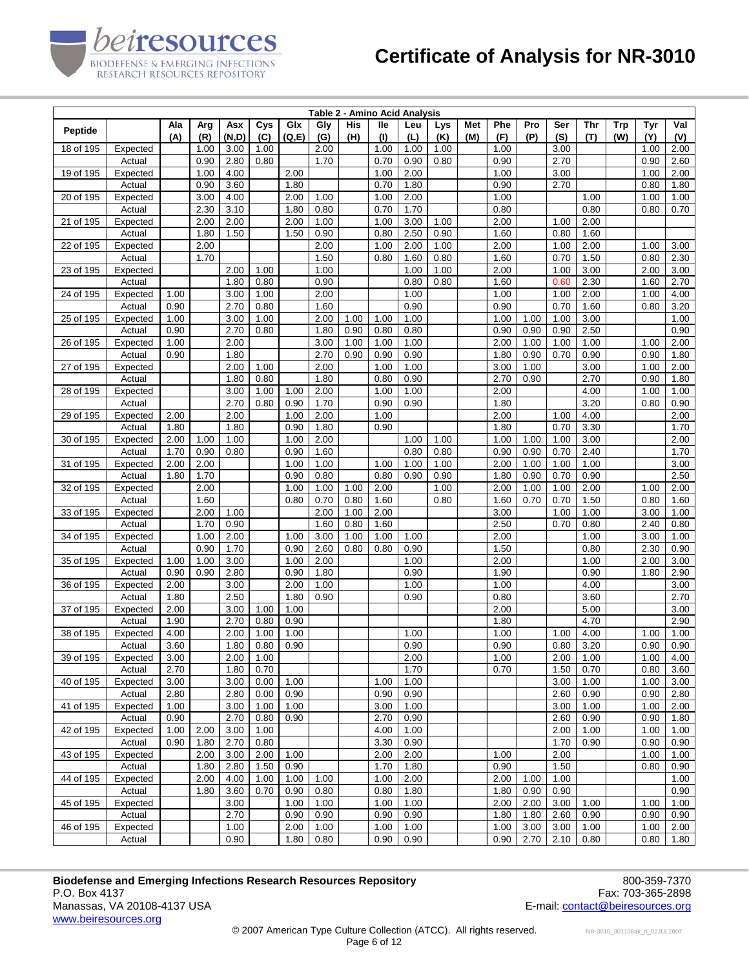|                |                    |              |              |              |              |               |              |            | Table 2 - Amino Acid Analysis |              |                   |            |              |              |              |              |                   |              |              |
|----------------|--------------------|--------------|--------------|--------------|--------------|---------------|--------------|------------|-------------------------------|--------------|-------------------|------------|--------------|--------------|--------------|--------------|-------------------|--------------|--------------|
| <b>Peptide</b> |                    | Ala<br>(A)   | Arg<br>(R)   | Asx<br>(N,D) | Cys<br>(C)   | Glx<br>(Q, E) | Gly<br>(G)   | His<br>(H) | lle<br>(1)                    | Leu<br>(L)   | <b>Lys</b><br>(K) | Met<br>(M) | Phe<br>(F)   | Pro<br>(P)   | Ser<br>(S)   | Thr<br>(T)   | <b>Trp</b><br>(W) | Tyr<br>(Y)   | Val<br>(V)   |
| 18 of 195      | Expected           |              | 1.00         | 3.00         | 1.00         |               | 2.00         |            | 1.00                          | 1.00         | 1.00              |            | 1.00         |              | 3.00         |              |                   | 1.00         | 2.00         |
|                | Actual             |              | 0.90         | 2.80         | 0.80         |               | 1.70         |            | 0.70                          | 0.90         | 0.80              |            | 0.90         |              | 2.70         |              |                   | 0.90         | 2.60         |
| 19 of 195      | Expected           |              | 1.00         | 4.00         |              | 2.00          |              |            | 1.00                          | 2.00         |                   |            | 1.00         |              | 3.00         |              |                   | 1.00         | 2.00         |
|                | Actual             |              | 0.90         | 3.60         |              | 1.80          |              |            | 0.70                          | 1.80         |                   |            | 0.90         |              | 2.70         |              |                   | 0.80         | 1.80         |
| 20 of 195      | Expected           |              | 3.00         | 4.00         |              | 2.00          | 1.00         |            | 1.00                          | 2.00         |                   |            | 1.00         |              |              | 1.00         |                   | 1.00         | 1.00         |
|                | Actual             |              | 2.30         | 3.10         |              | 1.80          | 0.80         |            | 0.70                          | 1.70         |                   |            | 0.80         |              |              | 0.80         |                   | 0.80         | 0.70         |
| 21 of 195      | Expected           |              | 2.00         | 2.00         |              | 2.00          | 1.00         |            | 1.00                          | 3.00         | 1.00              |            | 2.00         |              | 1.00         | 2.00         |                   |              |              |
|                | Actual             |              | 1.80<br>2.00 | 1.50         |              | 1.50          | 0.90         |            | 0.80                          | 2.50         | 0.90              |            | 1.60         |              | 0.80         | 1.60         |                   |              |              |
| 22 of 195      | Expected<br>Actual |              | 1.70         |              |              |               | 2.00<br>1.50 |            | 1.00<br>0.80                  | 2.00<br>1.60 | 1.00<br>0.80      |            | 2.00<br>1.60 |              | 1.00<br>0.70 | 2.00<br>1.50 |                   | 1.00<br>0.80 | 3.00<br>2.30 |
| 23 of 195      | Expected           |              |              | 2.00         | 1.00         |               | 1.00         |            |                               | 1.00         | 1.00              |            | 2.00         |              | 1.00         | 3.00         |                   | 2.00         | 3.00         |
|                | Actual             |              |              | 1.80         | 0.80         |               | 0.90         |            |                               | 0.80         | 0.80              |            | 1.60         |              | 0.60         | 2.30         |                   | 1.60         | 2.70         |
| 24 of 195      | Expected           | 1.00         |              | 3.00         | 1.00         |               | 2.00         |            |                               | 1.00         |                   |            | 1.00         |              | 1.00         | 2.00         |                   | 1.00         | 4.00         |
|                | Actual             | 0.90         |              | 2.70         | 0.80         |               | 1.60         |            |                               | 0.90         |                   |            | 0.90         |              | 0.70         | 1.60         |                   | 0.80         | 3.20         |
| 25 of 195      | Expected           | 1.00         |              | 3.00         | 1.00         |               | 2.00         | 1.00       | 1.00                          | 1.00         |                   |            | 1.00         | 1.00         | 1.00         | 3.00         |                   |              | 1.00         |
|                | Actual             | 0.90         |              | 2.70         | 0.80         |               | 1.80         | 0.90       | 0.80                          | 0.80         |                   |            | 0.90         | 0.90         | 0.90         | 2.50         |                   |              | 0.90         |
| 26 of 195      | Expected           | 1.00         |              | 2.00         |              |               | 3.00         | 1.00       | 1.00                          | 1.00         |                   |            | 2.00         | 1.00         | 1.00         | 1.00         |                   | 1.00         | 2.00         |
|                | Actual             | 0.90         |              | 1.80         |              |               | 2.70         | 0.90       | 0.90                          | 0.90         |                   |            | 1.80         | 0.90         | 0.70         | 0.90         |                   | 0.90         | 1.80         |
| 27 of 195      | Expected           |              |              | 2.00         | 1.00         |               | 2.00         |            | 1.00                          | 1.00         |                   |            | 3.00         | 1.00         |              | 3.00         |                   | 1.00         | 2.00         |
|                | Actual             |              |              | 1.80         | 0.80         |               | 1.80         |            | 0.80                          | 0.90         |                   |            | 2.70         | 0.90         |              | 2.70         |                   | 0.90         | 1.80         |
| 28 of 195      | Expected           |              |              | 3.00         | 1.00         | 1.00          | 2.00         |            | 1.00                          | 1.00         |                   |            | 2.00         |              |              | 4.00         |                   | 1.00         | 1.00         |
|                | Actual             |              |              | 2.70         | 0.80         | 0.90          | 1.70         |            | 0.90                          | 0.90         |                   |            | 1.80         |              |              | 3.20         |                   | 0.80         | 0.90         |
| 29 of 195      | Expected           | 2.00         |              | 2.00         |              | 1.00          | 2.00         |            | 1.00                          |              |                   |            | 2.00         |              | 1.00         | 4.00         |                   |              | 2.00         |
|                | Actual             | 1.80         |              | 1.80         |              | 0.90          | 1.80         |            | 0.90                          |              |                   |            | 1.80         |              | 0.70         | 3.30         |                   |              | 1.70         |
| 30 of 195      | Expected           | 2.00         | 1.00         | 1.00         |              | 1.00          | 2.00         |            |                               | 1.00         | 1.00              |            | 1.00         | 1.00         | 1.00         | 3.00         |                   |              | 2.00         |
| 31 of 195      | Actual<br>Expected | 1.70<br>2.00 | 0.90<br>2.00 | 0.80         |              | 0.90<br>1.00  | 1.60<br>1.00 |            | 1.00                          | 0.80<br>1.00 | 0.80<br>1.00      |            | 0.90<br>2.00 | 0.90<br>1.00 | 0.70<br>1.00 | 2.40<br>1.00 |                   |              | 1.70<br>3.00 |
|                | Actual             | 1.80         | 1.70         |              |              | 0.90          | 0.80         |            | 0.80                          | 0.90         | 0.90              |            | 1.80         | 0.90         | 0.70         | 0.90         |                   |              | 2.50         |
| 32 of 195      | Expected           |              | 2.00         |              |              | 1.00          | 1.00         | 1.00       | 2.00                          |              | 1.00              |            | 2.00         | 1.00         | 1.00         | 2.00         |                   | 1.00         | 2.00         |
|                | Actual             |              | 1.60         |              |              | 0.80          | 0.70         | 0.80       | 1.60                          |              | 0.80              |            | 1.60         | 0.70         | 0.70         | 1.50         |                   | 0.80         | 1.60         |
| 33 of 195      | Expected           |              | 2.00         | 1.00         |              |               | 2.00         | 1.00       | 2.00                          |              |                   |            | 3.00         |              | 1.00         | 1.00         |                   | 3.00         | 1.00         |
|                | Actual             |              | 1.70         | 0.90         |              |               | 1.60         | 0.80       | 1.60                          |              |                   |            | 2.50         |              | 0.70         | 0.80         |                   | 2.40         | 0.80         |
| 34 of 195      | Expected           |              | 1.00         | 2.00         |              | 1.00          | 3.00         | 1.00       | 1.00                          | 1.00         |                   |            | 2.00         |              |              | 1.00         |                   | 3.00         | 1.00         |
|                | Actual             |              | 0.90         | 1.70         |              | 0.90          | 2.60         | 0.80       | 0.80                          | 0.90         |                   |            | 1.50         |              |              | 0.80         |                   | 2.30         | 0.90         |
| 35 of 195      | Expected           | 1.00         | 1.00         | 3.00         |              | 1.00          | 2.00         |            |                               | 1.00         |                   |            | 2.00         |              |              | 1.00         |                   | 2.00         | 3.00         |
|                | Actual             | 0.90         | 0.90         | 2.80         |              | 0.90          | 1.80         |            |                               | 0.90         |                   |            | 1.90         |              |              | 0.90         |                   | 1.80         | 2.90         |
| 36 of 195      | Expected           | 2.00         |              | 3.00         |              | 2.00          | 1.00         |            |                               | 1.00         |                   |            | 1.00         |              |              | 4.00         |                   |              | 3.00         |
|                | Actual             | 1.80         |              | 2.50         |              | 1.80          | 0.90         |            |                               | 0.90         |                   |            | 0.80         |              |              | 3.60         |                   |              | 2.70         |
| 37 of 195      | Expected           | 2.00         |              | 3.00         | 1.00         | 1.00          |              |            |                               |              |                   |            | 2.00         |              |              | 5.00         |                   |              | 3.00         |
|                | Actual             | 1.90         |              | 2.70         | 0.80         | 0.90          |              |            |                               |              |                   |            | 1.80         |              |              | 4.70         |                   |              | 2.90         |
| 38 of 195      | Expected<br>Actual | 4.00<br>3.60 |              | 2.00<br>1.80 | 1.00<br>0.80 | 1.00<br>0.90  |              |            |                               | 1.00<br>0.90 |                   |            | 1.00<br>0.90 |              | 1.00<br>0.80 | 4.00<br>3.20 |                   | 1.00<br>0.90 | 1.00<br>0.90 |
| 39 of 195      | Expected           | 3.00         |              | 2.00         | 1.00         |               |              |            |                               | 2.00         |                   |            | 1.00         |              | 2.00         | 1.00         |                   | 1.00         | 4.00         |
|                | Actual             | 2.70         |              | 1.80         | 0.70         |               |              |            |                               | 1.70         |                   |            | 0.70         |              | 1.50         | 0.70         |                   | 0.80         | 3.60         |
| 40 of 195      | Expected           | 3.00         |              | 3.00         | 0.00         | 1.00          |              |            | 1.00                          | 1.00         |                   |            |              |              | 3.00         | 1.00         |                   | 1.00         | 3.00         |
|                | Actual             | 2.80         |              | 2.80         | 0.00         | 0.90          |              |            | 0.90                          | 0.90         |                   |            |              |              | 2.60         | 0.90         |                   | 0.90         | 2.80         |
| 41 of 195      | Expected           | 1.00         |              | 3.00         | 1.00         | 1.00          |              |            | 3.00                          | 1.00         |                   |            |              |              | 3.00         | 1.00         |                   | 1.00         | 2.00         |
|                | Actual             | 0.90         |              | 2.70         | 0.80         | 0.90          |              |            | 2.70                          | 0.90         |                   |            |              |              | 2.60         | 0.90         |                   | 0.90         | 1.80         |
| 42 of 195      | Expected           | 1.00         | 2.00         | 3.00         | 1.00         |               |              |            | 4.00                          | 1.00         |                   |            |              |              | 2.00         | 1.00         |                   | 1.00         | 1.00         |
|                | Actual             | 0.90         | 1.80         | 2.70         | 0.80         |               |              |            | 3.30                          | 0.90         |                   |            |              |              | 1.70         | 0.90         |                   | 0.90         | 0.90         |
| 43 of 195      | Expected           |              | 2.00         | 3.00         | 2.00         | 1.00          |              |            | 2.00                          | 2.00         |                   |            | 1.00         |              | 2.00         |              |                   | 1.00         | 1.00         |
|                | Actual             |              | 1.80         | 2.80         | 1.50         | 0.90          |              |            | 1.70                          | 1.80         |                   |            | 0.90         |              | 1.50         |              |                   | 0.80         | 0.90         |
| 44 of 195      | Expected           |              | 2.00         | 4.00         | 1.00         | 1.00          | 1.00         |            | 1.00                          | 2.00         |                   |            | 2.00         | 1.00         | 1.00         |              |                   |              | 1.00         |
|                | Actual             |              | 1.80         | 3.60         | 0.70         | 0.90          | 0.80         |            | 0.80                          | 1.80         |                   |            | 1.80         | 0.90         | 0.90         |              |                   |              | 0.90         |
| 45 of 195      | Expected           |              |              | 3.00         |              | 1.00          | 1.00         |            | 1.00                          | 1.00         |                   |            | 2.00         | 2.00         | 3.00         | 1.00         |                   | 1.00         | 1.00         |
|                | Actual             |              |              | 2.70         |              | 0.90          | 0.90         |            | 0.90                          | 0.90         |                   |            | 1.80         | 1.80         | 2.60         | 0.90         |                   | 0.90         | 0.90         |
| 46 of 195      | Expected           |              |              | 1.00         |              | 2.00          | 1.00         |            | 1.00                          | 1.00         |                   |            | 1.00         | 3.00         | 3.00         | 1.00         |                   | 1.00         | 2.00         |
|                | Actual             |              |              | 0.90         |              | 1.80          | 0.80         |            | 0.90                          | 0.90         |                   |            | 0.90         | 2.70         | 2.10         | 0.80         |                   | 0.80         | 1.80         |

**Biodefense and Emerging Infections Research Resources Repository 600-859-7370**<br>P.O. Box 4137 Fax: 703-365-2898 P.O. Box 4137 Fax: 703-365-2898<br>Manassas, VA 20108-4137 USA The Superior of the Superior of the Superior Contact (Series of the Superior of th<br>E-mail: <u>contact @beiresources.org</u> www.beiresources.org

*eiresources* 

BIODEFENSE & EMERGING INFECTIONS<br>RESEARCH RESOURCES REPOSITORY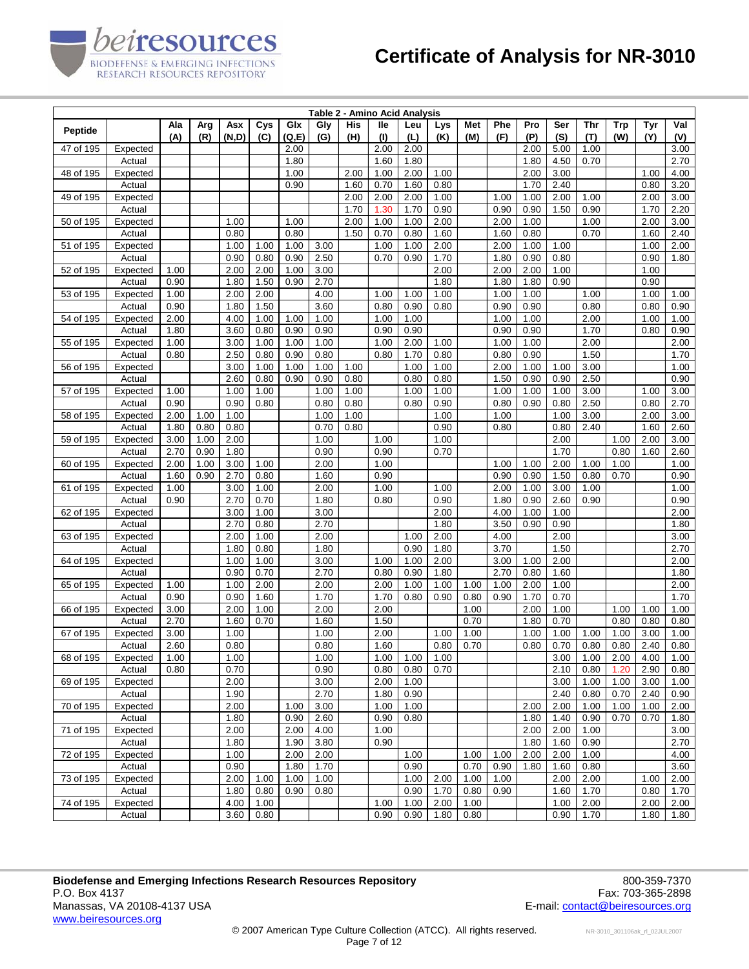|                |          |      |      |       |      |        |      |      | Table 2 - Amino Acid Analysis |      |      |      |      |      |      |      |            |      |      |
|----------------|----------|------|------|-------|------|--------|------|------|-------------------------------|------|------|------|------|------|------|------|------------|------|------|
| <b>Peptide</b> |          | Ala  | Arg  | Asx   | Cys  | Glx    | Gly  | His  | lle                           | Leu  | Lys  | Met  | Phe  | Pro  | Ser  | Thr  | <b>Trp</b> | Tyr  | Val  |
|                |          | (A)  | (R)  | (N,D) | (C)  | (Q, E) | (G)  | (H)  | (1)                           | (L)  | (K)  | (M)  | (F)  | (P)  | (S)  | (T)  | (W)        | (Y)  | (V)  |
| 47 of 195      | Expected |      |      |       |      | 2.00   |      |      | 2.00                          | 2.00 |      |      |      | 2.00 | 5.00 | 1.00 |            |      | 3.00 |
|                | Actual   |      |      |       |      | 1.80   |      |      | 1.60                          | 1.80 |      |      |      | 1.80 | 4.50 | 0.70 |            |      | 2.70 |
| 48 of 195      | Expected |      |      |       |      | 1.00   |      | 2.00 | 1.00                          | 2.00 | 1.00 |      |      | 2.00 | 3.00 |      |            | 1.00 | 4.00 |
|                | Actual   |      |      |       |      | 0.90   |      | 1.60 | 0.70                          | 1.60 | 0.80 |      |      | 1.70 | 2.40 |      |            | 0.80 | 3.20 |
| 49 of 195      | Expected |      |      |       |      |        |      | 2.00 | 2.00                          | 2.00 | 1.00 |      | 1.00 | 1.00 | 2.00 | 1.00 |            | 2.00 | 3.00 |
|                | Actual   |      |      |       |      |        |      | 1.70 | 1.30                          | 1.70 | 0.90 |      | 0.90 | 0.90 | 1.50 | 0.90 |            | 1.70 | 2.20 |
| 50 of 195      | Expected |      |      | 1.00  |      | 1.00   |      | 2.00 | 1.00                          | 1.00 | 2.00 |      | 2.00 | 1.00 |      | 1.00 |            | 2.00 | 3.00 |
|                | Actual   |      |      | 0.80  |      | 0.80   |      | 1.50 | 0.70                          | 0.80 | 1.60 |      | 1.60 | 0.80 |      | 0.70 |            | 1.60 | 2.40 |
| 51 of 195      | Expected |      |      | 1.00  | 1.00 | 1.00   | 3.00 |      | 1.00                          | 1.00 | 2.00 |      | 2.00 | 1.00 | 1.00 |      |            | 1.00 | 2.00 |
|                | Actual   |      |      | 0.90  | 0.80 | 0.90   | 2.50 |      | 0.70                          | 0.90 | 1.70 |      | 1.80 | 0.90 | 0.80 |      |            | 0.90 | 1.80 |
| 52 of 195      | Expected | 1.00 |      | 2.00  | 2.00 | 1.00   | 3.00 |      |                               |      | 2.00 |      | 2.00 | 2.00 | 1.00 |      |            | 1.00 |      |
|                | Actual   | 0.90 |      | 1.80  | 1.50 | 0.90   | 2.70 |      |                               |      | 1.80 |      | 1.80 | 1.80 | 0.90 |      |            | 0.90 |      |
| 53 of 195      | Expected | 1.00 |      | 2.00  | 2.00 |        | 4.00 |      | 1.00                          | 1.00 | 1.00 |      | 1.00 | 1.00 |      | 1.00 |            | 1.00 | 1.00 |
|                | Actual   | 0.90 |      | 1.80  | 1.50 |        | 3.60 |      | 0.80                          | 0.90 | 0.80 |      | 0.90 | 0.90 |      | 0.80 |            | 0.80 | 0.90 |
| 54 of 195      | Expected | 2.00 |      | 4.00  | 1.00 | 1.00   | 1.00 |      | 1.00                          | 1.00 |      |      | 1.00 | 1.00 |      | 2.00 |            | 1.00 | 1.00 |
|                | Actual   | 1.80 |      | 3.60  | 0.80 | 0.90   | 0.90 |      | 0.90                          | 0.90 |      |      | 0.90 | 0.90 |      | 1.70 |            | 0.80 | 0.90 |
| 55 of 195      | Expected | 1.00 |      | 3.00  | 1.00 | 1.00   | 1.00 |      | 1.00                          | 2.00 | 1.00 |      | 1.00 | 1.00 |      | 2.00 |            |      | 2.00 |
|                | Actual   | 0.80 |      | 2.50  | 0.80 | 0.90   | 0.80 |      | 0.80                          | 1.70 | 0.80 |      | 0.80 | 0.90 |      | 1.50 |            |      | 1.70 |
| 56 of 195      | Expected |      |      | 3.00  | 1.00 | 1.00   | 1.00 | 1.00 |                               | 1.00 | 1.00 |      | 2.00 | 1.00 | 1.00 | 3.00 |            |      | 1.00 |
|                | Actual   |      |      | 2.60  | 0.80 | 0.90   | 0.90 | 0.80 |                               | 0.80 | 0.80 |      | 1.50 | 0.90 | 0.90 | 2.50 |            |      | 0.90 |
| 57 of 195      | Expected | 1.00 |      | 1.00  | 1.00 |        | 1.00 | 1.00 |                               | 1.00 | 1.00 |      | 1.00 | 1.00 | 1.00 | 3.00 |            | 1.00 | 3.00 |
|                | Actual   | 0.90 |      | 0.90  | 0.80 |        | 0.80 | 0.80 |                               | 0.80 | 0.90 |      | 0.80 | 0.90 | 0.80 | 2.50 |            | 0.80 | 2.70 |
| 58 of 195      | Expected | 2.00 | 1.00 | 1.00  |      |        | 1.00 | 1.00 |                               |      | 1.00 |      | 1.00 |      | 1.00 | 3.00 |            | 2.00 | 3.00 |
|                | Actual   | 1.80 | 0.80 | 0.80  |      |        | 0.70 | 0.80 |                               |      | 0.90 |      | 0.80 |      | 0.80 | 2.40 |            | 1.60 | 2.60 |
| 59 of 195      | Expected | 3.00 | 1.00 | 2.00  |      |        | 1.00 |      | 1.00                          |      | 1.00 |      |      |      | 2.00 |      | 1.00       | 2.00 | 3.00 |
|                | Actual   | 2.70 | 0.90 | 1.80  |      |        | 0.90 |      | 0.90                          |      | 0.70 |      |      |      | 1.70 |      | 0.80       | 1.60 | 2.60 |
| 60 of 195      | Expected | 2.00 | 1.00 | 3.00  | 1.00 |        | 2.00 |      | 1.00                          |      |      |      | 1.00 | 1.00 | 2.00 | 1.00 | 1.00       |      | 1.00 |
|                | Actual   | 1.60 | 0.90 | 2.70  | 0.80 |        | 1.60 |      | 0.90                          |      |      |      | 0.90 | 0.90 | 1.50 | 0.80 | 0.70       |      | 0.90 |
| 61 of 195      | Expected | 1.00 |      | 3.00  | 1.00 |        | 2.00 |      | 1.00                          |      | 1.00 |      | 2.00 | 1.00 | 3.00 | 1.00 |            |      | 1.00 |
|                | Actual   | 0.90 |      | 2.70  | 0.70 |        | 1.80 |      | 0.80                          |      | 0.90 |      | 1.80 | 0.90 | 2.60 | 0.90 |            |      | 0.90 |
| 62 of 195      | Expected |      |      | 3.00  | 1.00 |        | 3.00 |      |                               |      | 2.00 |      | 4.00 | 1.00 | 1.00 |      |            |      | 2.00 |
|                | Actual   |      |      | 2.70  | 0.80 |        | 2.70 |      |                               |      | 1.80 |      | 3.50 | 0.90 | 0.90 |      |            |      | 1.80 |
| 63 of 195      | Expected |      |      | 2.00  | 1.00 |        | 2.00 |      |                               | 1.00 | 2.00 |      | 4.00 |      | 2.00 |      |            |      | 3.00 |
|                | Actual   |      |      | 1.80  | 0.80 |        | 1.80 |      |                               | 0.90 | 1.80 |      | 3.70 |      | 1.50 |      |            |      | 2.70 |
| 64 of 195      | Expected |      |      | 1.00  | 1.00 |        | 3.00 |      | 1.00                          | 1.00 | 2.00 |      | 3.00 | 1.00 | 2.00 |      |            |      | 2.00 |
|                | Actual   |      |      | 0.90  | 0.70 |        | 2.70 |      | 0.80                          | 0.90 | 1.80 |      | 2.70 | 0.80 | 1.60 |      |            |      | 1.80 |
| 65 of 195      | Expected | 1.00 |      | 1.00  | 2.00 |        | 2.00 |      | 2.00                          | 1.00 | 1.00 | 1.00 | 1.00 | 2.00 | 1.00 |      |            |      | 2.00 |
|                | Actual   | 0.90 |      | 0.90  | 1.60 |        | 1.70 |      | 1.70                          | 0.80 | 0.90 | 0.80 | 0.90 | 1.70 | 0.70 |      |            |      | 1.70 |
| 66 of 195      | Expected | 3.00 |      | 2.00  | 1.00 |        | 2.00 |      | 2.00                          |      |      | 1.00 |      | 2.00 | 1.00 |      | 1.00       | 1.00 | 1.00 |
|                | Actual   | 2.70 |      | 1.60  | 0.70 |        | 1.60 |      | 1.50                          |      |      | 0.70 |      | 1.80 | 0.70 |      | 0.80       | 0.80 | 0.80 |
| 67 of 195      | Expected | 3.00 |      | 1.00  |      |        | 1.00 |      | 2.00                          |      | 1.00 | 1.00 |      | 1.00 | 1.00 | 1.00 | 1.00       | 3.00 | 1.00 |
|                | Actual   | 2.60 |      | 0.80  |      |        | 0.80 |      | 1.60                          |      | 0.80 | 0.70 |      | 0.80 | 0.70 | 0.80 | 0.80       | 2.40 | 0.80 |
| 68 of 195      | Expected | 1.00 |      | 1.00  |      |        | 1.00 |      | 1.00                          | 1.00 | 1.00 |      |      |      | 3.00 | 1.00 | 2.00       | 4.00 | 1.00 |
|                | Actual   | 0.80 |      | 0.70  |      |        | 0.90 |      | 0.80                          | 0.80 | 0.70 |      |      |      | 2.10 | 0.80 | 1.20       | 2.90 | 0.80 |
| 69 of 195      | Expected |      |      | 2.00  |      |        | 3.00 |      | 2.00                          | 1.00 |      |      |      |      | 3.00 | 1.00 | 1.00       | 3.00 | 1.00 |
|                | Actual   |      |      | 1.90  |      |        | 2.70 |      | 1.80                          | 0.90 |      |      |      |      | 2.40 | 0.80 | 0.70       | 2.40 | 0.90 |
| 70 of 195      | Expected |      |      | 2.00  |      | 1.00   | 3.00 |      | 1.00                          | 1.00 |      |      |      | 2.00 | 2.00 | 1.00 | 1.00       | 1.00 | 2.00 |
|                | Actual   |      |      | 1.80  |      | 0.90   | 2.60 |      | 0.90                          | 0.80 |      |      |      | 1.80 | 1.40 | 0.90 | 0.70       | 0.70 | 1.80 |
| 71 of 195      | Expected |      |      | 2.00  |      | 2.00   | 4.00 |      | 1.00                          |      |      |      |      | 2.00 | 2.00 | 1.00 |            |      | 3.00 |
|                | Actual   |      |      | 1.80  |      | 1.90   | 3.80 |      | 0.90                          |      |      |      |      | 1.80 | 1.60 | 0.90 |            |      | 2.70 |
| 72 of 195      | Expected |      |      | 1.00  |      | 2.00   | 2.00 |      |                               | 1.00 |      | 1.00 | 1.00 | 2.00 | 2.00 | 1.00 |            |      | 4.00 |
|                | Actual   |      |      | 0.90  |      | 1.80   | 1.70 |      |                               | 0.90 |      | 0.70 | 0.90 | 1.80 | 1.60 | 0.80 |            |      | 3.60 |
| 73 of 195      | Expected |      |      | 2.00  | 1.00 | 1.00   | 1.00 |      |                               | 1.00 | 2.00 | 1.00 | 1.00 |      | 2.00 | 2.00 |            | 1.00 | 2.00 |
|                | Actual   |      |      | 1.80  | 0.80 | 0.90   | 0.80 |      |                               | 0.90 | 1.70 | 0.80 | 0.90 |      | 1.60 | 1.70 |            | 0.80 | 1.70 |
| 74 of 195      | Expected |      |      | 4.00  | 1.00 |        |      |      | 1.00                          | 1.00 | 2.00 | 1.00 |      |      | 1.00 | 2.00 |            | 2.00 | 2.00 |
|                | Actual   |      |      | 3.60  | 0.80 |        |      |      | 0.90                          | 0.90 | 1.80 | 0.80 |      |      | 0.90 | 1.70 |            | 1.80 | 1.80 |

*eiresources* 

BIODEFENSE & EMERGING INFECTIONS<br>RESEARCH RESOURCES REPOSITORY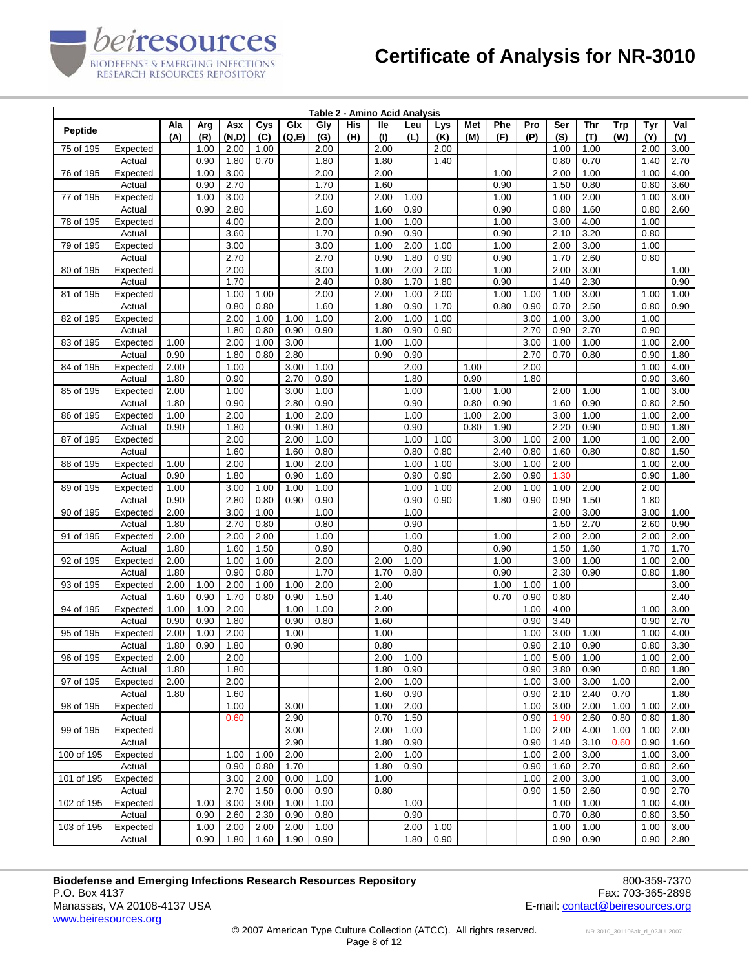| Table 2 - Amino Acid Analysis |                    |              |            |              |              |               |              |            |              |              |            |              |              |              |              |              |                   |              |              |
|-------------------------------|--------------------|--------------|------------|--------------|--------------|---------------|--------------|------------|--------------|--------------|------------|--------------|--------------|--------------|--------------|--------------|-------------------|--------------|--------------|
| <b>Peptide</b>                |                    | Ala<br>(A)   | Arg<br>(R) | Asx<br>(N,D) | Cys<br>(C)   | Glx<br>(Q, E) | Gly<br>(G)   | His<br>(H) | lle<br>(1)   | Leu<br>(L)   | Lys<br>(K) | Met<br>(M)   | Phe<br>(F)   | Pro<br>(P)   | Ser<br>(S)   | Thr<br>(T)   | <b>Trp</b><br>(W) | Tyr<br>(Y)   | Val<br>(V)   |
| 75 of 195                     | Expected           |              | 1.00       | 2.00         | 1.00         |               | 2.00         |            | 2.00         |              | 2.00       |              |              |              | 1.00         | 1.00         |                   | 2.00         | 3.00         |
|                               | Actual             |              | 0.90       | 1.80         | 0.70         |               | 1.80         |            | 1.80         |              | 1.40       |              |              |              | 0.80         | 0.70         |                   | 1.40         | 2.70         |
| 76 of 195                     | Expected           |              | 1.00       | 3.00         |              |               | 2.00         |            | 2.00         |              |            |              | 1.00         |              | 2.00         | 1.00         |                   | 1.00         | 4.00         |
|                               | Actual             |              | 0.90       | 2.70         |              |               | 1.70         |            | 1.60         |              |            |              | 0.90         |              | 1.50         | 0.80         |                   | 0.80         | 3.60         |
| 77 of 195                     | Expected           |              | 1.00       | 3.00         |              |               | 2.00         |            | 2.00         | 1.00         |            |              | 1.00         |              | 1.00         | 2.00         |                   | 1.00         | 3.00         |
|                               | Actual             |              | 0.90       | 2.80         |              |               | 1.60         |            | 1.60         | 0.90         |            |              | 0.90         |              | 0.80         | 1.60         |                   | 0.80         | 2.60         |
| 78 of 195                     | Expected           |              |            | 4.00         |              |               | 2.00         |            | 1.00         | 1.00         |            |              | 1.00         |              | 3.00         | 4.00         |                   | 1.00         |              |
| 79 of 195                     | Actual<br>Expected |              |            | 3.60<br>3.00 |              |               | 1.70<br>3.00 |            | 0.90<br>1.00 | 0.90<br>2.00 | 1.00       |              | 0.90<br>1.00 |              | 2.10<br>2.00 | 3.20<br>3.00 |                   | 0.80<br>1.00 |              |
|                               | Actual             |              |            | 2.70         |              |               | 2.70         |            | 0.90         | 1.80         | 0.90       |              | 0.90         |              | 1.70         | 2.60         |                   | 0.80         |              |
| 80 of 195                     | Expected           |              |            | 2.00         |              |               | 3.00         |            | 1.00         | 2.00         | 2.00       |              | 1.00         |              | 2.00         | 3.00         |                   |              | 1.00         |
|                               | Actual             |              |            | 1.70         |              |               | 2.40         |            | 0.80         | 1.70         | 1.80       |              | 0.90         |              | 1.40         | 2.30         |                   |              | 0.90         |
| 81 of 195                     | Expected           |              |            | 1.00         | 1.00         |               | 2.00         |            | 2.00         | 1.00         | 2.00       |              | 1.00         | 1.00         | 1.00         | 3.00         |                   | 1.00         | 1.00         |
|                               | Actual             |              |            | 0.80         | 0.80         |               | 1.60         |            | 1.80         | 0.90         | 1.70       |              | 0.80         | 0.90         | 0.70         | 2.50         |                   | 0.80         | 0.90         |
| 82 of 195                     | Expected           |              |            | 2.00         | 1.00         | 1.00          | 1.00         |            | 2.00         | 1.00         | 1.00       |              |              | 3.00         | 1.00         | 3.00         |                   | 1.00         |              |
|                               | Actual             |              |            | 1.80         | 0.80         | 0.90          | 0.90         |            | 1.80         | 0.90         | 0.90       |              |              | 2.70         | 0.90         | 2.70         |                   | 0.90         |              |
| 83 of 195                     | Expected           | 1.00         |            | 2.00         | 1.00         | 3.00          |              |            | 1.00         | 1.00         |            |              |              | 3.00         | 1.00         | 1.00         |                   | 1.00         | 2.00         |
|                               | Actual             | 0.90         |            | 1.80         | 0.80         | 2.80          |              |            | 0.90         | 0.90         |            |              |              | 2.70         | 0.70         | 0.80         |                   | 0.90         | 1.80         |
| 84 of 195                     | Expected           | 2.00         |            | 1.00         |              | 3.00          | 1.00         |            |              | 2.00         |            | 1.00         |              | 2.00         |              |              |                   | 1.00         | 4.00         |
|                               | Actual             | 1.80         |            | 0.90         |              | 2.70          | 0.90         |            |              | 1.80         |            | 0.90         |              | 1.80         |              |              |                   | 0.90         | 3.60         |
| 85 of 195                     | Expected<br>Actual | 2.00<br>1.80 |            | 1.00<br>0.90 |              | 3.00<br>2.80  | 1.00<br>0.90 |            |              | 1.00<br>0.90 |            | 1.00<br>0.80 | 1.00<br>0.90 |              | 2.00<br>1.60 | 1.00<br>0.90 |                   | 1.00<br>0.80 | 3.00<br>2.50 |
| 86 of 195                     | Expected           | 1.00         |            | 2.00         |              | 1.00          | 2.00         |            |              | 1.00         |            | 1.00         | 2.00         |              | 3.00         | 1.00         |                   | 1.00         | 2.00         |
|                               | Actual             | 0.90         |            | 1.80         |              | 0.90          | 1.80         |            |              | 0.90         |            | 0.80         | 1.90         |              | 2.20         | 0.90         |                   | 0.90         | 1.80         |
| 87 of 195                     | Expected           |              |            | 2.00         |              | 2.00          | 1.00         |            |              | 1.00         | 1.00       |              | 3.00         | 1.00         | 2.00         | 1.00         |                   | 1.00         | 2.00         |
|                               | Actual             |              |            | 1.60         |              | 1.60          | 0.80         |            |              | 0.80         | 0.80       |              | 2.40         | 0.80         | 1.60         | 0.80         |                   | 0.80         | 1.50         |
| 88 of 195                     | Expected           | 1.00         |            | 2.00         |              | 1.00          | 2.00         |            |              | 1.00         | 1.00       |              | 3.00         | 1.00         | 2.00         |              |                   | 1.00         | 2.00         |
|                               | Actual             | 0.90         |            | 1.80         |              | 0.90          | 1.60         |            |              | 0.90         | 0.90       |              | 2.60         | 0.90         | 1.30         |              |                   | 0.90         | 1.80         |
| 89 of 195                     | Expected           | 1.00         |            | 3.00         | 1.00         | 1.00          | 1.00         |            |              | 1.00         | 1.00       |              | 2.00         | 1.00         | 1.00         | 2.00         |                   | 2.00         |              |
|                               | Actual             | 0.90         |            | 2.80         | 0.80         | 0.90          | 0.90         |            |              | 0.90         | 0.90       |              | 1.80         | 0.90         | 0.90         | 1.50         |                   | 1.80         |              |
| 90 of 195                     | Expected           | 2.00         |            | 3.00         | 1.00         |               | 1.00         |            |              | 1.00         |            |              |              |              | 2.00         | 3.00         |                   | 3.00         | 1.00         |
|                               | Actual             | 1.80         |            | 2.70         | 0.80         |               | 0.80         |            |              | 0.90         |            |              |              |              | 1.50         | 2.70         |                   | 2.60         | 0.90         |
| 91 of 195                     | Expected           | 2.00         |            | 2.00         | 2.00         |               | 1.00         |            |              | 1.00         |            |              | 1.00         |              | 2.00         | 2.00         |                   | 2.00         | 2.00         |
|                               | Actual             | 1.80         |            | 1.60         | 1.50         |               | 0.90         |            |              | 0.80         |            |              | 0.90         |              | 1.50         | 1.60         |                   | 1.70         | 1.70         |
| 92 of 195                     | Expected<br>Actual | 2.00<br>1.80 |            | 1.00<br>0.90 | 1.00<br>0.80 |               | 2.00<br>1.70 |            | 2.00<br>1.70 | 1.00<br>0.80 |            |              | 1.00<br>0.90 |              | 3.00<br>2.30 | 1.00<br>0.90 |                   | 1.00<br>0.80 | 2.00<br>1.80 |
| 93 of 195                     | Expected           | 2.00         | 1.00       | 2.00         | 1.00         | 1.00          | 2.00         |            | 2.00         |              |            |              | 1.00         | 1.00         | 1.00         |              |                   |              | 3.00         |
|                               | Actual             | 1.60         | 0.90       | 1.70         | 0.80         | 0.90          | 1.50         |            | 1.40         |              |            |              | 0.70         | 0.90         | 0.80         |              |                   |              | 2.40         |
| 94 of 195                     | Expected           | 1.00         | 1.00       | 2.00         |              | 1.00          | 1.00         |            | 2.00         |              |            |              |              | 1.00         | 4.00         |              |                   | 1.00         | 3.00         |
|                               | Actual             | 0.90         | 0.90       | 1.80         |              | 0.90          | 0.80         |            | 1.60         |              |            |              |              | 0.90         | 3.40         |              |                   | 0.90         | 2.70         |
| 95 of 195                     | Expected           | 2.00         | 1.00       | 2.00         |              | 1.00          |              |            | 1.00         |              |            |              |              | 1.00         | 3.00         | 1.00         |                   | 1.00         | 4.00         |
|                               | Actual             | 1.80         | 0.90       | 1.80         |              | 0.90          |              |            | 0.80         |              |            |              |              | 0.90         | 2.10         | 0.90         |                   | 0.80         | 3.30         |
| 96 of 195                     | Expected           | 2.00         |            | 2.00         |              |               |              |            | 2.00         | 1.00         |            |              |              | 1.00         | 5.00         | 1.00         |                   | 1.00         | 2.00         |
|                               | Actual             | 1.80         |            | 1.80         |              |               |              |            | 1.80         | 0.90         |            |              |              | 0.90         | 3.80         | 0.90         |                   | 0.80         | 1.80         |
| 97 of 195                     | Expected           | 2.00         |            | 2.00         |              |               |              |            | 2.00         | 1.00         |            |              |              | 1.00         | 3.00         | 3.00         | 1.00              |              | 2.00         |
|                               | Actual             | 1.80         |            | 1.60         |              |               |              |            | 1.60         | 0.90         |            |              |              | 0.90         | 2.10         | 2.40         | 0.70              |              | 1.80         |
| 98 of 195                     | Expected           |              |            | 1.00         |              | 3.00          |              |            | 1.00         | 2.00         |            |              |              | 1.00         | 3.00         | 2.00         | 1.00              | 1.00         | 2.00         |
| 99 of 195                     | Actual<br>Expected |              |            | 0.60         |              | 2.90<br>3.00  |              |            | 0.70<br>2.00 | 1.50<br>1.00 |            |              |              | 0.90         | 1.90<br>2.00 | 2.60<br>4.00 | 0.80              | 0.80         | 1.80<br>2.00 |
|                               | Actual             |              |            |              |              | 2.90          |              |            | 1.80         | 0.90         |            |              |              | 1.00<br>0.90 | 1.40         | 3.10         | 1.00<br>0.60      | 1.00<br>0.90 | 1.60         |
| 100 of 195                    | Expected           |              |            | 1.00         | 1.00         | 2.00          |              |            | 2.00         | 1.00         |            |              |              | 1.00         | 2.00         | 3.00         |                   | 1.00         | 3.00         |
|                               | Actual             |              |            | 0.90         | 0.80         | 1.70          |              |            | 1.80         | 0.90         |            |              |              | 0.90         | 1.60         | 2.70         |                   | 0.80         | 2.60         |
| 101 of 195                    | Expected           |              |            | 3.00         | 2.00         | 0.00          | 1.00         |            | 1.00         |              |            |              |              | 1.00         | 2.00         | 3.00         |                   | 1.00         | 3.00         |
|                               | Actual             |              |            | 2.70         | 1.50         | 0.00          | 0.90         |            | 0.80         |              |            |              |              | 0.90         | 1.50         | 2.60         |                   | 0.90         | 2.70         |
| 102 of 195                    | Expected           |              | 1.00       | 3.00         | 3.00         | 1.00          | 1.00         |            |              | 1.00         |            |              |              |              | 1.00         | 1.00         |                   | 1.00         | 4.00         |
|                               | Actual             |              | 0.90       | 2.60         | 2.30         | 0.90          | 0.80         |            |              | 0.90         |            |              |              |              | 0.70         | 0.80         |                   | 0.80         | 3.50         |
| 103 of 195                    | Expected           |              | 1.00       | 2.00         | 2.00         | 2.00          | 1.00         |            |              | 2.00         | 1.00       |              |              |              | 1.00         | 1.00         |                   | 1.00         | 3.00         |
|                               | Actual             |              | 0.90       | 1.80         | 1.60         | 1.90          | 0.90         |            |              | 1.80         | 0.90       |              |              |              | 0.90         | 0.90         |                   | 0.90         | 2.80         |

*eiresources* 

BIODEFENSE & EMERGING INFECTIONS<br>RESEARCH RESOURCES REPOSITORY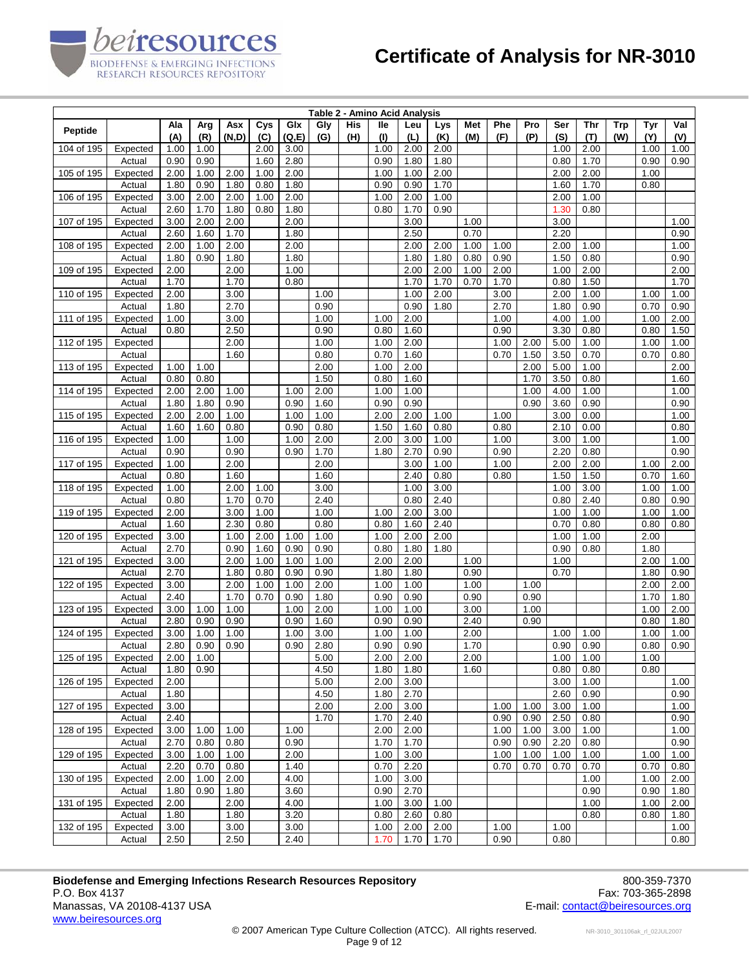|            |                     |              |              |              | Table 2 - Amino Acid Analysis |              |              |            |              |              |              |              |              |            |              |              |                   |              |              |
|------------|---------------------|--------------|--------------|--------------|-------------------------------|--------------|--------------|------------|--------------|--------------|--------------|--------------|--------------|------------|--------------|--------------|-------------------|--------------|--------------|
| Peptide    |                     | Ala<br>(A)   | Arg<br>(R)   | Asx<br>(N,D) | Cys<br>(C)                    | Glx<br>(Q,E) | Gly<br>(G)   | His<br>(H) | lle<br>(1)   | Leu<br>(L)   | Lys<br>(K)   | Met<br>(M)   | Phe<br>(F)   | Pro<br>(P) | Ser<br>(S)   | Thr<br>(T)   | <b>Trp</b><br>(W) | Tyr<br>(Y)   | Val<br>(V)   |
| 104 of 195 | Expected            | 1.00         | 1.00         |              | 2.00                          | 3.00         |              |            | 1.00         | 2.00         | 2.00         |              |              |            | 1.00         | 2.00         |                   | 1.00         | 1.00         |
|            | Actual              | 0.90         | 0.90         |              | 1.60                          | 2.80         |              |            | 0.90         | 1.80         | 1.80         |              |              |            | 0.80         | 1.70         |                   | 0.90         | 0.90         |
| 105 of 195 | Expected            | 2.00         | 1.00         | 2.00         | 1.00                          | 2.00         |              |            | 1.00         | 1.00         | 2.00         |              |              |            | 2.00         | 2.00         |                   | 1.00         |              |
|            | Actual              | 1.80         | 0.90         | 1.80         | 0.80                          | 1.80         |              |            | 0.90         | 0.90         | 1.70         |              |              |            | 1.60         | 1.70         |                   | 0.80         |              |
| 106 of 195 | Expected            | 3.00         | 2.00         | 2.00         | 1.00                          | 2.00         |              |            | 1.00         | 2.00         | 1.00         |              |              |            | 2.00         | 1.00         |                   |              |              |
|            | Actual              | 2.60         | 1.70         | 1.80         | 0.80                          | 1.80         |              |            | 0.80         | 1.70         | 0.90         |              |              |            | 1.30         | 0.80         |                   |              |              |
| 107 of 195 | Expected            | 3.00         | 2.00         | 2.00         |                               | 2.00         |              |            |              | 3.00         |              | 1.00         |              |            | 3.00         |              |                   |              | 1.00         |
|            | Actual              | 2.60         | 1.60         | 1.70         |                               | 1.80         |              |            |              | 2.50         |              | 0.70         |              |            | 2.20         |              |                   |              | 0.90         |
| 108 of 195 | Expected            | 2.00         | 1.00         | 2.00         |                               | 2.00         |              |            |              | 2.00         | 2.00         | 1.00         | 1.00         |            | 2.00         | 1.00         |                   |              | 1.00         |
|            | Actual              | 1.80         | 0.90         | 1.80         |                               | 1.80         |              |            |              | 1.80         | 1.80         | 0.80         | 0.90         |            | 1.50         | 0.80         |                   |              | 0.90         |
| 109 of 195 | Expected<br>Actual  | 2.00<br>1.70 |              | 2.00<br>1.70 |                               | 1.00<br>0.80 |              |            |              | 2.00<br>1.70 | 2.00<br>1.70 | 1.00<br>0.70 | 2.00<br>1.70 |            | 1.00<br>0.80 | 2.00<br>1.50 |                   |              | 2.00<br>1.70 |
| 110 of 195 | Expected            | 2.00         |              | 3.00         |                               |              | 1.00         |            |              | 1.00         | 2.00         |              | 3.00         |            | 2.00         | 1.00         |                   | 1.00         | 1.00         |
|            | Actual              | 1.80         |              | 2.70         |                               |              | 0.90         |            |              | 0.90         | 1.80         |              | 2.70         |            | 1.80         | 0.90         |                   | 0.70         | 0.90         |
| 111 of 195 | Expected            | 1.00         |              | 3.00         |                               |              | 1.00         |            | 1.00         | 2.00         |              |              | 1.00         |            | 4.00         | 1.00         |                   | 1.00         | 2.00         |
|            | Actual              | 0.80         |              | 2.50         |                               |              | 0.90         |            | 0.80         | 1.60         |              |              | 0.90         |            | 3.30         | 0.80         |                   | 0.80         | 1.50         |
| 112 of 195 | Expected            |              |              | 2.00         |                               |              | 1.00         |            | 1.00         | 2.00         |              |              | 1.00         | 2.00       | 5.00         | 1.00         |                   | 1.00         | 1.00         |
|            | Actual              |              |              | 1.60         |                               |              | 0.80         |            | 0.70         | 1.60         |              |              | 0.70         | 1.50       | 3.50         | 0.70         |                   | 0.70         | 0.80         |
| 113 of 195 | Expected            | 1.00         | 1.00         |              |                               |              | 2.00         |            | 1.00         | 2.00         |              |              |              | 2.00       | 5.00         | 1.00         |                   |              | 2.00         |
|            | Actual              | 0.80         | 0.80         |              |                               |              | 1.50         |            | 0.80         | 1.60         |              |              |              | 1.70       | 3.50         | 0.80         |                   |              | 1.60         |
| 114 of 195 | Expected            | 2.00         | 2.00         | 1.00         |                               | 1.00         | 2.00         |            | 1.00         | 1.00         |              |              |              | 1.00       | 4.00         | 1.00         |                   |              | 1.00         |
|            | Actual              | 1.80         | 1.80         | 0.90         |                               | 0.90         | 1.60         |            | 0.90         | 0.90         |              |              |              | 0.90       | 3.60         | 0.90         |                   |              | 0.90         |
| 115 of 195 | Expected            | 2.00         | 2.00         | 1.00         |                               | 1.00         | 1.00         |            | 2.00         | 2.00         | 1.00         |              | 1.00         |            | 3.00         | 0.00         |                   |              | 1.00         |
|            | Actual              | 1.60         | 1.60         | 0.80         |                               | 0.90         | 0.80         |            | 1.50         | 1.60         | 0.80         |              | 0.80         |            | 2.10         | 0.00         |                   |              | 0.80         |
| 116 of 195 | Expected            | 1.00         |              | 1.00         |                               | 1.00         | 2.00         |            | 2.00         | 3.00         | 1.00         |              | 1.00         |            | 3.00         | 1.00         |                   |              | 1.00         |
|            | Actual              | 0.90         |              | 0.90         |                               | 0.90         | 1.70         |            | 1.80         | 2.70         | 0.90         |              | 0.90         |            | 2.20         | 0.80         |                   |              | 0.90         |
| 117 of 195 | Expected            | 1.00         |              | 2.00         |                               |              | 2.00         |            |              | 3.00         | 1.00         |              | 1.00         |            | 2.00         | 2.00         |                   | 1.00         | 2.00         |
|            | Actual              | 0.80         |              | 1.60         |                               |              | 1.60         |            |              | 2.40         | 0.80         |              | 0.80         |            | 1.50         | 1.50         |                   | 0.70         | 1.60         |
| 118 of 195 | Expected            | 1.00         |              | 2.00         | 1.00                          |              | 3.00         |            |              | 1.00         | 3.00         |              |              |            | 1.00         | 3.00         |                   | 1.00         | 1.00         |
|            | Actual              | 0.80         |              | 1.70         | 0.70                          |              | 2.40         |            |              | 0.80         | 2.40         |              |              |            | 0.80         | 2.40         |                   | 0.80         | 0.90         |
| 119 of 195 | Expected            | 2.00         |              | 3.00         | 1.00                          |              | 1.00         |            | 1.00         | 2.00         | 3.00         |              |              |            | 1.00         | 1.00         |                   | 1.00         | 1.00         |
|            | Actual              | 1.60         |              | 2.30         | 0.80                          |              | 0.80         |            | 0.80         | 1.60         | 2.40         |              |              |            | 0.70         | 0.80         |                   | 0.80         | 0.80         |
| 120 of 195 | Expected<br>Actual  | 3.00<br>2.70 |              | 1.00         | 2.00<br>1.60                  | 1.00<br>0.90 | 1.00         |            | 1.00         | 2.00<br>1.80 | 2.00<br>1.80 |              |              |            | 1.00<br>0.90 | 1.00<br>0.80 |                   | 2.00<br>1.80 |              |
| 121 of 195 | Expected            | 3.00         |              | 0.90<br>2.00 | 1.00                          | 1.00         | 0.90<br>1.00 |            | 0.80<br>2.00 | 2.00         |              | 1.00         |              |            | 1.00         |              |                   | 2.00         | 1.00         |
|            | Actual              | 2.70         |              | 1.80         | 0.80                          | 0.90         | 0.90         |            | 1.80         | 1.80         |              | 0.90         |              |            | 0.70         |              |                   | 1.80         | 0.90         |
| 122 of 195 | Expected            | 3.00         |              | 2.00         | 1.00                          | 1.00         | 2.00         |            | 1.00         | 1.00         |              | 1.00         |              | 1.00       |              |              |                   | 2.00         | 2.00         |
|            | Actual              | 2.40         |              | 1.70         | 0.70                          | 0.90         | 1.80         |            | 0.90         | 0.90         |              | 0.90         |              | 0.90       |              |              |                   | 1.70         | 1.80         |
| 123 of 195 | Expected            | 3.00         | 1.00         | 1.00         |                               | 1.00         | 2.00         |            | 1.00         | 1.00         |              | 3.00         |              | 1.00       |              |              |                   | 1.00         | 2.00         |
|            | Actual              | 2.80         | 0.90         | 0.90         |                               | 0.90         | 1.60         |            | 0.90         | 0.90         |              | 2.40         |              | 0.90       |              |              |                   | 0.80         | 1.80         |
| 124 of 195 | Expected            | 3.00         | 1.00         | 1.00         |                               | 1.00         | 3.00         |            | 1.00         | 1.00         |              | 2.00         |              |            | 1.00         | 1.00         |                   | 1.00         | 1.00         |
|            | Actual              | 2.80         | 0.90         | 0.90         |                               | 0.90         | 2.80         |            | 0.90         | 0.90         |              | 1.70         |              |            | 0.90         | 0.90         |                   | 0.80         | 0.90         |
|            | 125 of 195 Expected | 2.00         | 1.00         |              |                               |              | 5.00         |            | 2.00         | 2.00         |              | 2.00         |              |            | 1.00         | 1.00         |                   | 1.00         |              |
|            | Actual              | 1.80         | 0.90         |              |                               |              | 4.50         |            | 1.80         | 1.80         |              | 1.60         |              |            | 0.80         | 0.80         |                   | 0.80         |              |
| 126 of 195 | Expected            | 2.00         |              |              |                               |              | 5.00         |            | 2.00         | 3.00         |              |              |              |            | 3.00         | 1.00         |                   |              | 1.00         |
|            | Actual              | 1.80         |              |              |                               |              | 4.50         |            | 1.80         | 2.70         |              |              |              |            | 2.60         | 0.90         |                   |              | 0.90         |
| 127 of 195 | Expected            | 3.00         |              |              |                               |              | 2.00         |            | 2.00         | 3.00         |              |              | 1.00         | 1.00       | 3.00         | 1.00         |                   |              | 1.00         |
|            | Actual              | 2.40         |              |              |                               |              | 1.70         |            | 1.70         | 2.40         |              |              | 0.90         | 0.90       | 2.50         | 0.80         |                   |              | 0.90         |
| 128 of 195 | Expected            | 3.00         | 1.00         | 1.00         |                               | 1.00         |              |            | 2.00         | 2.00         |              |              | 1.00         | 1.00       | 3.00         | 1.00         |                   |              | 1.00         |
|            | Actual              | 2.70         | 0.80         | 0.80         |                               | 0.90         |              |            | 1.70         | 1.70         |              |              | 0.90         | 0.90       | 2.20         | 0.80         |                   |              | 0.90         |
| 129 of 195 | Expected            | 3.00         | 1.00         | 1.00         |                               | 2.00         |              |            | 1.00         | 3.00         |              |              | 1.00         | 1.00       | 1.00         | 1.00         |                   | 1.00         | 1.00         |
|            | Actual              | 2.20         | 0.70         | 0.80         |                               | 1.40         |              |            | 0.70         | 2.20         |              |              | 0.70         | 0.70       | 0.70         | 0.70         |                   | 0.70         | 0.80         |
| 130 of 195 | Expected<br>Actual  | 2.00<br>1.80 | 1.00<br>0.90 | 2.00<br>1.80 |                               | 4.00<br>3.60 |              |            | 1.00<br>0.90 | 3.00<br>2.70 |              |              |              |            |              | 1.00<br>0.90 |                   | 1.00<br>0.90 | 2.00<br>1.80 |
| 131 of 195 | Expected            | 2.00         |              | 2.00         |                               | 4.00         |              |            | 1.00         | 3.00         | 1.00         |              |              |            |              | 1.00         |                   | 1.00         | 2.00         |
|            | Actual              | 1.80         |              | 1.80         |                               | 3.20         |              |            | 0.80         | 2.60         | 0.80         |              |              |            |              | 0.80         |                   | 0.80         | 1.80         |
| 132 of 195 | Expected            | 3.00         |              | 3.00         |                               | 3.00         |              |            | 1.00         | 2.00         | 2.00         |              | 1.00         |            | 1.00         |              |                   |              | 1.00         |
|            | Actual              | 2.50         |              | 2.50         |                               | 2.40         |              |            | 1.70         | 1.70         | 1.70         |              | 0.90         |            | 0.80         |              |                   |              | 0.80         |
|            |                     |              |              |              |                               |              |              |            |              |              |              |              |              |            |              |              |                   |              |              |

**Biodefense and Emerging Infections Research Resources Repository 600-859-7370**<br>P.O. Box 4137 Fax: 703-365-2898 P.O. Box 4137 Fax: 703-365-2898<br>Manassas, VA 20108-4137 USA The Superior of the Superior of the Superior Contact (Series of the Superior of th<br>E-mail: <u>contact @beiresources.org</u> www.beiresources.org

peiresources

BIODEFENSE & EMERGING INFECTIONS<br>RESEARCH RESOURCES REPOSITORY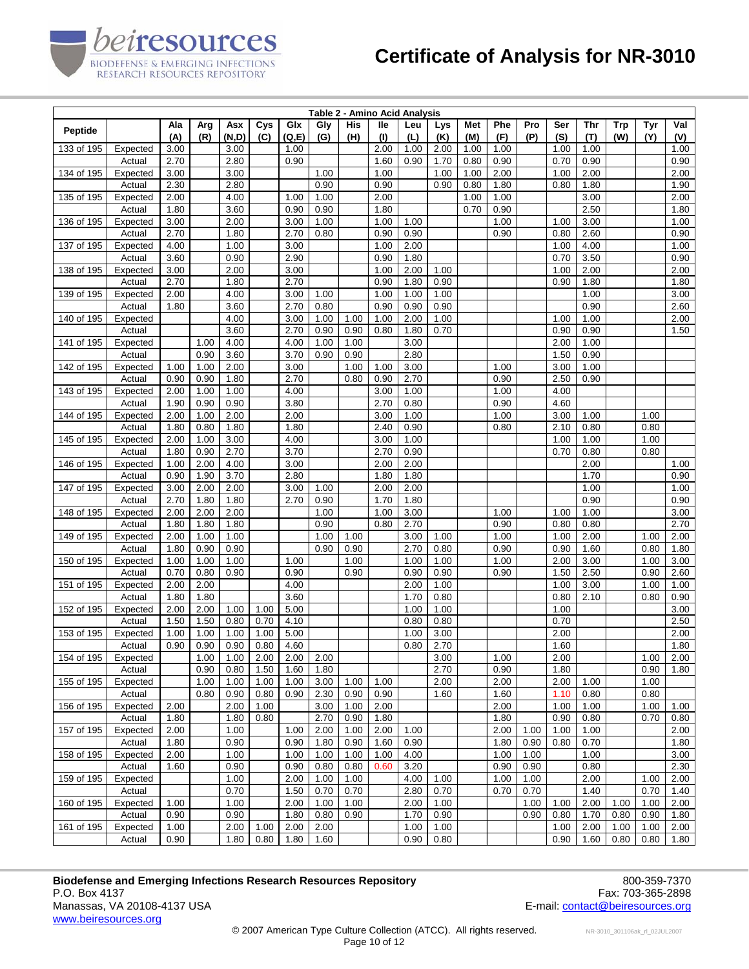|                     | Table 2 - Amino Acid Analysis |              |              |              |      |              |              |              |              |              |              |              |              |              |              |              |            |      |              |
|---------------------|-------------------------------|--------------|--------------|--------------|------|--------------|--------------|--------------|--------------|--------------|--------------|--------------|--------------|--------------|--------------|--------------|------------|------|--------------|
| Peptide             |                               | Ala          | Arg          | Asx          | Cys  | Glx          | Gly          | His          | lle          | Leu          | Lys          | Met          | Phe          | Pro          | Ser          | Thr          | <b>Trp</b> | Tyr  | Val          |
|                     |                               | (A)          | (R)          | (N,D)        | (C)  | (Q, E)       | (G)          | (H)          | (1)          | (L)          | (K)          | (M)          | (F)          | (P)          | (S)          | (T)          | (W)        | (Y)  | (V)          |
| 133 of 195          | Expected                      | 3.00         |              | 3.00         |      | 1.00         |              |              | 2.00         | 1.00         | 2.00         | 1.00         | 1.00         |              | 1.00         | 1.00         |            |      | 1.00         |
| 134 of 195          | Actual                        | 2.70<br>3.00 |              | 2.80<br>3.00 |      | 0.90         | 1.00         |              | 1.60<br>1.00 | 0.90         | 1.70<br>1.00 | 0.80         | 0.90<br>2.00 |              | 0.70         | 0.90<br>2.00 |            |      | 0.90<br>2.00 |
|                     | Expected<br>Actual            | 2.30         |              | 2.80         |      |              | 0.90         |              | 0.90         |              | 0.90         | 1.00<br>0.80 | 1.80         |              | 1.00<br>0.80 | 1.80         |            |      | 1.90         |
| 135 of 195          | Expected                      | 2.00         |              | 4.00         |      | 1.00         | 1.00         |              | 2.00         |              |              | 1.00         | 1.00         |              |              | 3.00         |            |      | 2.00         |
|                     | Actual                        | 1.80         |              | 3.60         |      | 0.90         | 0.90         |              | 1.80         |              |              | 0.70         | 0.90         |              |              | 2.50         |            |      | 1.80         |
| 136 of 195          | Expected                      | 3.00         |              | 2.00         |      | 3.00         | 1.00         |              | 1.00         | 1.00         |              |              | 1.00         |              | 1.00         | 3.00         |            |      | 1.00         |
|                     | Actual                        | 2.70         |              | 1.80         |      | 2.70         | 0.80         |              | 0.90         | 0.90         |              |              | 0.90         |              | 0.80         | 2.60         |            |      | 0.90         |
| 137 of 195          | Expected                      | 4.00         |              | 1.00         |      | 3.00         |              |              | 1.00         | 2.00         |              |              |              |              | 1.00         | 4.00         |            |      | 1.00         |
|                     | Actual                        | 3.60         |              | 0.90         |      | 2.90         |              |              | 0.90         | 1.80         |              |              |              |              | 0.70         | 3.50         |            |      | 0.90         |
| 138 of 195          | Expected                      | 3.00         |              | 2.00         |      | 3.00         |              |              | 1.00         | 2.00         | 1.00         |              |              |              | 1.00         | 2.00         |            |      | 2.00         |
|                     | Actual                        | 2.70         |              | 1.80         |      | 2.70         |              |              | 0.90         | 1.80         | 0.90         |              |              |              | 0.90         | 1.80         |            |      | 1.80         |
| 139 of 195          | Expected                      | 2.00         |              | 4.00         |      | 3.00         | 1.00         |              | 1.00         | 1.00         | 1.00         |              |              |              |              | 1.00         |            |      | 3.00         |
|                     | Actual                        | 1.80         |              | 3.60         |      | 2.70         | 0.80         |              | 0.90         | 0.90         | 0.90         |              |              |              |              | 0.90         |            |      | 2.60         |
| 140 of 195          | Expected                      |              |              | 4.00         |      | 3.00         | 1.00         | 1.00         | 1.00         | 2.00         | 1.00         |              |              |              | 1.00         | 1.00         |            |      | 2.00         |
|                     | Actual                        |              |              | 3.60         |      | 2.70         | 0.90         | 0.90         | 0.80         | 1.80         | 0.70         |              |              |              | 0.90         | 0.90         |            |      | 1.50         |
| 141 of 195          | Expected                      |              | 1.00         | 4.00         |      | 4.00         | 1.00         | 1.00         |              | 3.00         |              |              |              |              | 2.00         | 1.00         |            |      |              |
|                     | Actual                        |              | 0.90         | 3.60         |      | 3.70         | 0.90         | 0.90         |              | 2.80         |              |              |              |              | 1.50         | 0.90         |            |      |              |
| 142 of 195          | Expected                      | 1.00         | 1.00         | 2.00         |      | 3.00         |              | 1.00         | 1.00         | 3.00         |              |              | 1.00         |              | 3.00         | 1.00         |            |      |              |
|                     | Actual                        | 0.90         | 0.90         | 1.80         |      | 2.70         |              | 0.80         | 0.90         | 2.70         |              |              | 0.90         |              | 2.50         | 0.90         |            |      |              |
| 143 of 195          | Expected                      | 2.00         | 1.00         | 1.00         |      | 4.00         |              |              | 3.00         | 1.00         |              |              | 1.00         |              | 4.00         |              |            |      |              |
|                     | Actual                        | 1.90         | 0.90         | 0.90         |      | 3.80         |              |              | 2.70         | 0.80         |              |              | 0.90         |              | 4.60         |              |            |      |              |
| 144 of 195          | Expected                      | 2.00         | 1.00         | 2.00         |      | 2.00         |              |              | 3.00         | 1.00         |              |              | 1.00         |              | 3.00         | 1.00         |            | 1.00 |              |
|                     | Actual                        | 1.80         | 0.80         | 1.80         |      | 1.80         |              |              | 2.40         | 0.90         |              |              | 0.80         |              | 2.10         | 0.80         |            | 0.80 |              |
| 145 of 195          | Expected                      | 2.00         | 1.00         | 3.00         |      | 4.00         |              |              | 3.00         | 1.00         |              |              |              |              | 1.00         | 1.00         |            | 1.00 |              |
|                     | Actual                        | 1.80         | 0.90         | 2.70         |      | 3.70         |              |              | 2.70         | 0.90         |              |              |              |              | 0.70         | 0.80         |            | 0.80 |              |
| 146 of 195          | Expected<br>Actual            | 1.00<br>0.90 | 2.00<br>1.90 | 4.00<br>3.70 |      | 3.00<br>2.80 |              |              | 2.00<br>1.80 | 2.00<br>1.80 |              |              |              |              |              | 2.00<br>1.70 |            |      | 1.00<br>0.90 |
| 147 of 195          | Expected                      | 3.00         | 2.00         | 2.00         |      | 3.00         | 1.00         |              | 2.00         | 2.00         |              |              |              |              |              | 1.00         |            |      | 1.00         |
|                     | Actual                        | 2.70         | 1.80         | 1.80         |      | 2.70         | 0.90         |              | 1.70         | 1.80         |              |              |              |              |              | 0.90         |            |      | 0.90         |
| 148 of 195          | Expected                      | 2.00         | 2.00         | 2.00         |      |              | 1.00         |              | 1.00         | 3.00         |              |              | 1.00         |              | 1.00         | 1.00         |            |      | 3.00         |
|                     | Actual                        | 1.80         | 1.80         | 1.80         |      |              | 0.90         |              | 0.80         | 2.70         |              |              | 0.90         |              | 0.80         | 0.80         |            |      | 2.70         |
| 149 of 195          | Expected                      | 2.00         | 1.00         | 1.00         |      |              | 1.00         | 1.00         |              | 3.00         | 1.00         |              | 1.00         |              | 1.00         | 2.00         |            | 1.00 | 2.00         |
|                     | Actual                        | 1.80         | 0.90         | 0.90         |      |              | 0.90         | 0.90         |              | 2.70         | 0.80         |              | 0.90         |              | 0.90         | 1.60         |            | 0.80 | 1.80         |
| 150 of 195          | Expected                      | 1.00         | 1.00         | 1.00         |      | 1.00         |              | 1.00         |              | 1.00         | 1.00         |              | 1.00         |              | 2.00         | 3.00         |            | 1.00 | 3.00         |
|                     | Actual                        | 0.70         | 0.80         | 0.90         |      | 0.90         |              | 0.90         |              | 0.90         | 0.90         |              | 0.90         |              | 1.50         | 2.50         |            | 0.90 | 2.60         |
| 151 of 195          | Expected                      | 2.00         | 2.00         |              |      | 4.00         |              |              |              | 2.00         | 1.00         |              |              |              | 1.00         | 3.00         |            | 1.00 | 1.00         |
|                     | Actual                        | 1.80         | 1.80         |              |      | 3.60         |              |              |              | 1.70         | 0.80         |              |              |              | 0.80         | 2.10         |            | 0.80 | 0.90         |
| 152 of 195          | Expected                      | 2.00         | 2.00         | 1.00         | 1.00 | 5.00         |              |              |              | 1.00         | 1.00         |              |              |              | 1.00         |              |            |      | 3.00         |
|                     | Actual                        | 1.50         | 1.50         | 0.80         | 0.70 | 4.10         |              |              |              | 0.80         | 0.80         |              |              |              | 0.70         |              |            |      | 2.50         |
| 153 of 195          | Expected                      | 1.00         | 1.00         | 1.00         | 1.00 | 5.00         |              |              |              | 1.00         | 3.00         |              |              |              | 2.00         |              |            |      | 2.00         |
|                     | Actual                        | 0.90         | 0.90         | 0.90         | 0.80 | 4.60         |              |              |              | 0.80         | 2.70         |              |              |              | 1.60         |              |            |      | 1.80         |
| 154 of 195 Expected |                               |              | 1.00         | 1.00         | 2.00 | 2.00         | 2.00         |              |              |              | 3.00         |              | 1.00         |              | 2.00         |              |            |      | $1.00$ 2.00  |
|                     | Actual                        |              | 0.90         | 0.80         | 1.50 | 1.60         | 1.80         |              |              |              | 2.70         |              | 0.90         |              | 1.80         |              |            | 0.90 | 1.80         |
| 155 of 195          | Expected                      |              | 1.00         | 1.00         | 1.00 | 1.00         | 3.00         | 1.00         | 1.00         |              | 2.00         |              | 2.00         |              | 2.00         | 1.00         |            | 1.00 |              |
|                     | Actual                        |              | 0.80         | 0.90         | 0.80 | 0.90         | 2.30         | 0.90         | 0.90         |              | 1.60         |              | 1.60         |              | 1.10         | 0.80         |            | 0.80 |              |
| 156 of 195          | Expected                      | 2.00         |              | 2.00         | 1.00 |              | 3.00         | 1.00         | 2.00         |              |              |              | 2.00         |              | 1.00         | 1.00         |            | 1.00 | 1.00         |
| 157 of 195          | Actual                        | 1.80         |              | 1.80<br>1.00 | 0.80 | 1.00         | 2.70         | 0.90         | 1.80<br>2.00 | 1.00         |              |              | 1.80         |              | 0.90         | 0.80         |            | 0.70 | 0.80         |
|                     | Expected<br>Actual            | 2.00<br>1.80 |              | 0.90         |      | 0.90         | 2.00<br>1.80 | 1.00<br>0.90 | 1.60         | 0.90         |              |              | 2.00<br>1.80 | 1.00<br>0.90 | 1.00<br>0.80 | 1.00<br>0.70 |            |      | 2.00<br>1.80 |
| 158 of 195          | Expected                      | 2.00         |              | 1.00         |      | 1.00         | 1.00         | 1.00         | 1.00         | 4.00         |              |              | 1.00         | 1.00         |              | 1.00         |            |      | 3.00         |
|                     | Actual                        | 1.60         |              | 0.90         |      | 0.90         | 0.80         | 0.80         | 0.60         | 3.20         |              |              | 0.90         | 0.90         |              | 0.80         |            |      | 2.30         |
| 159 of 195          | Expected                      |              |              | 1.00         |      | 2.00         | 1.00         | 1.00         |              | 4.00         | 1.00         |              | 1.00         | 1.00         |              | 2.00         |            | 1.00 | 2.00         |
|                     | Actual                        |              |              | 0.70         |      | 1.50         | 0.70         | 0.70         |              | 2.80         | 0.70         |              | 0.70         | 0.70         |              | 1.40         |            | 0.70 | 1.40         |
| 160 of 195          | Expected                      | 1.00         |              | 1.00         |      | 2.00         | 1.00         | 1.00         |              | 2.00         | 1.00         |              |              | 1.00         | 1.00         | 2.00         | 1.00       | 1.00 | 2.00         |
|                     | Actual                        | 0.90         |              | 0.90         |      | 1.80         | 0.80         | 0.90         |              | 1.70         | 0.90         |              |              | 0.90         | 0.80         | 1.70         | 0.80       | 0.90 | 1.80         |
| 161 of 195          | Expected                      | 1.00         |              | 2.00         | 1.00 | 2.00         | 2.00         |              |              | 1.00         | 1.00         |              |              |              | 1.00         | 2.00         | 1.00       | 1.00 | 2.00         |
|                     | Actual                        | 0.90         |              | 1.80         | 0.80 | 1.80         | 1.60         |              |              | 0.90         | 0.80         |              |              |              | 0.90         | 1.60         | 0.80       | 0.80 | 1.80         |
|                     |                               |              |              |              |      |              |              |              |              |              |              |              |              |              |              |              |            |      |              |

**Biodefense and Emerging Infections Research Resources Repository 600-859-7370**<br>P.O. Box 4137 Fax: 703-365-2898 P.O. Box 4137 Fax: 703-365-2898<br>Manassas, VA 20108-4137 USA The Superior of the Superior of the Superior Contact (Series of the Superior of th<br>E-mail: <u>contact @beiresources.org</u> www.beiresources.org

peiresources

BIODEFENSE & EMERGING INFECTIONS<br>RESEARCH RESOURCES REPOSITORY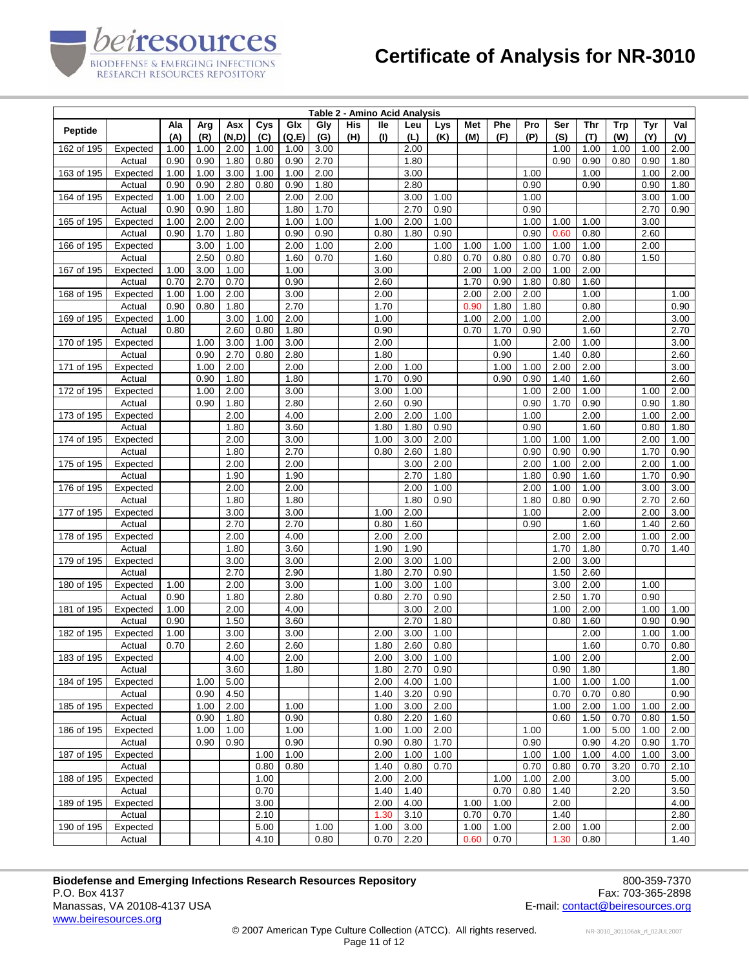|                     |                    |              |              |              |            |               |              |            | Table 2 - Amino Acid Analysis |              |              |            |            |              |              |              |                   |              |              |
|---------------------|--------------------|--------------|--------------|--------------|------------|---------------|--------------|------------|-------------------------------|--------------|--------------|------------|------------|--------------|--------------|--------------|-------------------|--------------|--------------|
| Peptide             |                    | Ala<br>(A)   | Arg<br>(R)   | Asx<br>(N,D) | Cys<br>(C) | Glx<br>(Q, E) | Gly<br>(G)   | His<br>(H) | lle<br>(1)                    | Leu<br>(L)   | Lys<br>(K)   | Met<br>(M) | Phe<br>(F) | Pro<br>(P)   | Ser<br>(S)   | Thr<br>(T)   | <b>Trp</b><br>(W) | Tyr<br>(Y)   | Val<br>(V)   |
| 162 of 195          | Expected           | 1.00         | 1.00         | 2.00         | 1.00       | 1.00          | 3.00         |            |                               | 2.00         |              |            |            |              | 1.00         | 1.00         | 1.00              | 1.00         | 2.00         |
|                     | Actual             | 0.90         | 0.90         | 1.80         | 0.80       | 0.90          | 2.70         |            |                               | 1.80         |              |            |            |              | 0.90         | 0.90         | 0.80              | 0.90         | 1.80         |
| 163 of 195          | Expected           | 1.00         | 1.00         | 3.00         | 1.00       | 1.00          | 2.00         |            |                               | 3.00         |              |            |            | 1.00         |              | 1.00         |                   | 1.00         | 2.00         |
|                     | Actual             | 0.90         | 0.90         | 2.80         | 0.80       | 0.90          | 1.80         |            |                               | 2.80         |              |            |            | 0.90         |              | 0.90         |                   | 0.90         | 1.80         |
| 164 of 195          | Expected           | 1.00         | 1.00         | 2.00         |            | 2.00          | 2.00         |            |                               | 3.00         | 1.00         |            |            | 1.00         |              |              |                   | 3.00         | 1.00         |
|                     | Actual             | 0.90         | 0.90         | 1.80         |            | 1.80          | 1.70         |            |                               | 2.70         | 0.90         |            |            | 0.90         |              |              |                   | 2.70         | 0.90         |
| 165 of 195          | Expected<br>Actual | 1.00<br>0.90 | 2.00<br>1.70 | 2.00<br>1.80 |            | 1.00<br>0.90  | 1.00<br>0.90 |            | 1.00<br>0.80                  | 2.00<br>1.80 | 1.00<br>0.90 |            |            | 1.00<br>0.90 | 1.00<br>0.60 | 1.00<br>0.80 |                   | 3.00<br>2.60 |              |
| 166 of 195          | Expected           |              | 3.00         | 1.00         |            | 2.00          | 1.00         |            | 2.00                          |              | 1.00         | 1.00       | 1.00       | 1.00         | 1.00         | 1.00         |                   | 2.00         |              |
|                     | Actual             |              | 2.50         | 0.80         |            | 1.60          | 0.70         |            | 1.60                          |              | 0.80         | 0.70       | 0.80       | 0.80         | 0.70         | 0.80         |                   | 1.50         |              |
| 167 of 195          | Expected           | 1.00         | 3.00         | 1.00         |            | 1.00          |              |            | 3.00                          |              |              | 2.00       | 1.00       | 2.00         | 1.00         | 2.00         |                   |              |              |
|                     | Actual             | 0.70         | 2.70         | 0.70         |            | 0.90          |              |            | 2.60                          |              |              | 1.70       | 0.90       | 1.80         | 0.80         | 1.60         |                   |              |              |
| 168 of 195          | Expected           | 1.00         | 1.00         | 2.00         |            | 3.00          |              |            | 2.00                          |              |              | 2.00       | 2.00       | 2.00         |              | 1.00         |                   |              | 1.00         |
|                     | Actual             | 0.90         | 0.80         | 1.80         |            | 2.70          |              |            | 1.70                          |              |              | 0.90       | 1.80       | 1.80         |              | 0.80         |                   |              | 0.90         |
| 169 of 195          | Expected           | 1.00         |              | 3.00         | 1.00       | 2.00          |              |            | 1.00                          |              |              | 1.00       | 2.00       | 1.00         |              | 2.00         |                   |              | 3.00         |
|                     | Actual             | 0.80         |              | 2.60         | 0.80       | 1.80          |              |            | 0.90                          |              |              | 0.70       | 1.70       | 0.90         |              | 1.60         |                   |              | 2.70         |
| 170 of 195          | Expected           |              | 1.00         | 3.00         | 1.00       | 3.00          |              |            | 2.00                          |              |              |            | 1.00       |              | 2.00         | 1.00         |                   |              | 3.00         |
|                     | Actual             |              | 0.90         | 2.70         | 0.80       | 2.80          |              |            | 1.80                          |              |              |            | 0.90       |              | 1.40         | 0.80         |                   |              | 2.60         |
| 171 of 195          | Expected           |              | 1.00         | 2.00         |            | 2.00          |              |            | 2.00                          | 1.00         |              |            | 1.00       | 1.00         | 2.00         | 2.00         |                   |              | 3.00         |
|                     | Actual             |              | 0.90         | 1.80         |            | 1.80          |              |            | 1.70                          | 0.90         |              |            | 0.90       | 0.90         | 1.40         | 1.60         |                   |              | 2.60         |
| 172 of 195          | Expected<br>Actual |              | 1.00<br>0.90 | 2.00<br>1.80 |            | 3.00<br>2.80  |              |            | 3.00<br>2.60                  | 1.00<br>0.90 |              |            |            | 1.00<br>0.90 | 2.00<br>1.70 | 1.00<br>0.90 |                   | 1.00<br>0.90 | 2.00<br>1.80 |
| 173 of 195          | Expected           |              |              | 2.00         |            | 4.00          |              |            | 2.00                          | 2.00         | 1.00         |            |            | 1.00         |              | 2.00         |                   | 1.00         | 2.00         |
|                     | Actual             |              |              | 1.80         |            | 3.60          |              |            | 1.80                          | 1.80         | 0.90         |            |            | 0.90         |              | 1.60         |                   | 0.80         | 1.80         |
| 174 of 195          | Expected           |              |              | 2.00         |            | 3.00          |              |            | 1.00                          | 3.00         | 2.00         |            |            | 1.00         | 1.00         | 1.00         |                   | 2.00         | 1.00         |
|                     | Actual             |              |              | 1.80         |            | 2.70          |              |            | 0.80                          | 2.60         | 1.80         |            |            | 0.90         | 0.90         | 0.90         |                   | 1.70         | 0.90         |
| 175 of 195          | Expected           |              |              | 2.00         |            | 2.00          |              |            |                               | 3.00         | 2.00         |            |            | 2.00         | 1.00         | 2.00         |                   | 2.00         | 1.00         |
|                     | Actual             |              |              | 1.90         |            | 1.90          |              |            |                               | 2.70         | 1.80         |            |            | 1.80         | 0.90         | 1.60         |                   | 1.70         | 0.90         |
| 176 of 195          | Expected           |              |              | 2.00         |            | 2.00          |              |            |                               | 2.00         | 1.00         |            |            | 2.00         | 1.00         | 1.00         |                   | 3.00         | 3.00         |
|                     | Actual             |              |              | 1.80         |            | 1.80          |              |            |                               | 1.80         | 0.90         |            |            | 1.80         | 0.80         | 0.90         |                   | 2.70         | 2.60         |
| 177 of 195          | Expected           |              |              | 3.00         |            | 3.00          |              |            | 1.00                          | 2.00         |              |            |            | 1.00         |              | 2.00         |                   | 2.00         | 3.00         |
|                     | Actual             |              |              | 2.70         |            | 2.70          |              |            | 0.80                          | 1.60         |              |            |            | 0.90         |              | 1.60         |                   | 1.40         | 2.60         |
| 178 of 195          | Expected           |              |              | 2.00         |            | 4.00          |              |            | 2.00                          | 2.00         |              |            |            |              | 2.00         | 2.00         |                   | 1.00         | 2.00         |
| 179 of 195          | Actual<br>Expected |              |              | 1.80<br>3.00 |            | 3.60<br>3.00  |              |            | 1.90<br>2.00                  | 1.90<br>3.00 | 1.00         |            |            |              | 1.70<br>2.00 | 1.80<br>3.00 |                   | 0.70         | 1.40         |
|                     | Actual             |              |              | 2.70         |            | 2.90          |              |            | 1.80                          | 2.70         | 0.90         |            |            |              | 1.50         | 2.60         |                   |              |              |
| 180 of 195          | Expected           | 1.00         |              | 2.00         |            | 3.00          |              |            | 1.00                          | 3.00         | 1.00         |            |            |              | 3.00         | 2.00         |                   | 1.00         |              |
|                     | Actual             | 0.90         |              | 1.80         |            | 2.80          |              |            | 0.80                          | 2.70         | 0.90         |            |            |              | 2.50         | 1.70         |                   | 0.90         |              |
| 181 of 195          | Expected           | 1.00         |              | 2.00         |            | 4.00          |              |            |                               | 3.00         | 2.00         |            |            |              | 1.00         | 2.00         |                   | 1.00         | 1.00         |
|                     | Actual             | 0.90         |              | 1.50         |            | 3.60          |              |            |                               | 2.70         | 1.80         |            |            |              | 0.80         | 1.60         |                   | 0.90         | 0.90         |
| 182 of 195          | Expected           | 1.00         |              | 3.00         |            | 3.00          |              |            | 2.00                          | 3.00         | 1.00         |            |            |              |              | 2.00         |                   | 1.00         | 1.00         |
|                     | Actual             | 0.70         |              | 2.60         |            | 2.60          |              |            | 1.80                          | 2.60         | 0.80         |            |            |              |              | 1.60         |                   | 0.70         | 0.80         |
| 183 of 195 Expected |                    |              |              | 4.00         |            | 2.00          |              |            | 2.00                          | 3.00         | 1.00         |            |            |              |              | $1.00$ 2.00  |                   |              | 2.00         |
|                     | Actual             |              |              | 3.60         |            | 1.80          |              |            | 1.80                          | 2.70         | 0.90         |            |            |              | 0.90         | 1.80         |                   |              | 1.80         |
| 184 of 195          | Expected           |              | 1.00         | 5.00         |            |               |              |            | 2.00                          | 4.00         | 1.00         |            |            |              | 1.00         | 1.00         | 1.00              |              | 1.00         |
|                     | Actual             |              | 0.90         | 4.50         |            |               |              |            | 1.40                          | 3.20         | 0.90         |            |            |              | 0.70         | 0.70         | 0.80              |              | 0.90         |
| 185 of 195          | Expected<br>Actual |              | 1.00<br>0.90 | 2.00<br>1.80 |            | 1.00<br>0.90  |              |            | 1.00<br>0.80                  | 3.00<br>2.20 | 2.00<br>1.60 |            |            |              | 1.00<br>0.60 | 2.00         | 1.00<br>0.70      | 1.00         | 2.00         |
| 186 of 195          | Expected           |              | 1.00         | 1.00         |            | 1.00          |              |            | 1.00                          | 1.00         | 2.00         |            |            | 1.00         |              | 1.50<br>1.00 | 5.00              | 0.80<br>1.00 | 1.50<br>2.00 |
|                     | Actual             |              | 0.90         | 0.90         |            | 0.90          |              |            | 0.90                          | 0.80         | 1.70         |            |            | 0.90         |              | 0.90         | 4.20              | 0.90         | 1.70         |
| 187 of 195          | Expected           |              |              |              | 1.00       | 1.00          |              |            | 2.00                          | 1.00         | 1.00         |            |            | 1.00         | 1.00         | 1.00         | 4.00              | 1.00         | 3.00         |
|                     | Actual             |              |              |              | 0.80       | 0.80          |              |            | 1.40                          | 0.80         | 0.70         |            |            | 0.70         | 0.80         | 0.70         | 3.20              | 0.70         | 2.10         |
| 188 of 195          | Expected           |              |              |              | 1.00       |               |              |            | 2.00                          | 2.00         |              |            | 1.00       | 1.00         | 2.00         |              | 3.00              |              | 5.00         |
|                     | Actual             |              |              |              | 0.70       |               |              |            | 1.40                          | 1.40         |              |            | 0.70       | 0.80         | 1.40         |              | 2.20              |              | 3.50         |
| 189 of 195          | Expected           |              |              |              | 3.00       |               |              |            | 2.00                          | 4.00         |              | 1.00       | 1.00       |              | 2.00         |              |                   |              | 4.00         |
|                     | Actual             |              |              |              | 2.10       |               |              |            | 1.30                          | 3.10         |              | 0.70       | 0.70       |              | 1.40         |              |                   |              | 2.80         |
| 190 of 195          | Expected           |              |              |              | 5.00       |               | 1.00         |            | 1.00                          | 3.00         |              | 1.00       | 1.00       |              | 2.00         | 1.00         |                   |              | 2.00         |
|                     | Actual             |              |              |              | 4.10       |               | 0.80         |            | 0.70                          | 2.20         |              | 0.60       | 0.70       |              | 1.30         | 0.80         |                   |              | 1.40         |

**Biodefense and Emerging Infections Research Resources Repository 600-859-7370**<br>P.O. Box 4137 Fax: 703-365-2898 P.O. Box 4137 Fax: 703-365-2898<br>Manassas, VA 20108-4137 USA The Superior of the Superior of the Superior Contact (Series of the Superior of th<br>E-mail: <u>contact @beiresources.org</u> www.beiresources.org

peiresources

BIODEFENSE & EMERGING INFECTIONS<br>RESEARCH RESOURCES REPOSITORY